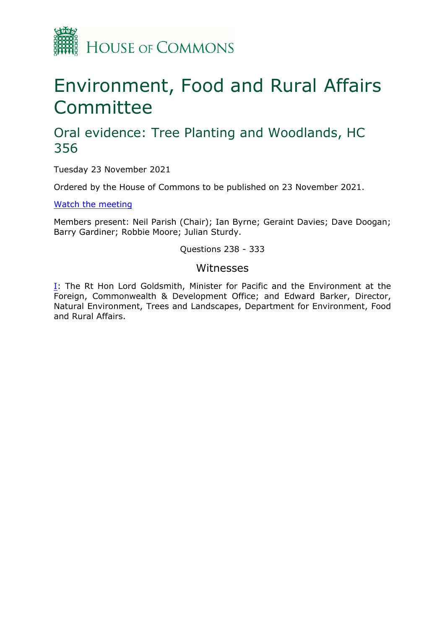

# Environment, Food and Rural Affairs **Committee**

## Oral evidence: Tree Planting and Woodlands, HC 356

Tuesday 23 November 2021

Ordered by the House of Commons to be published on 23 November 2021.

[Watch](https://www.parliamentlive.tv/Event/Index/f0817218-1948-4b00-bc66-e9691b65a48b) [the](https://www.parliamentlive.tv/Event/Index/f0817218-1948-4b00-bc66-e9691b65a48b) [meeting](https://www.parliamentlive.tv/Event/Index/f0817218-1948-4b00-bc66-e9691b65a48b)

Members present: Neil Parish (Chair); Ian Byrne; Geraint Davies; Dave Doogan; Barry Gardiner; Robbie Moore; Julian Sturdy.

#### Questions 238 - 333

#### Witnesses

[I:](#page-1-0) The Rt Hon Lord Goldsmith, Minister for Pacific and the Environment at the Foreign, Commonwealth & Development Office; and Edward Barker, Director, Natural Environment, Trees and Landscapes, Department for Environment, Food and Rural Affairs.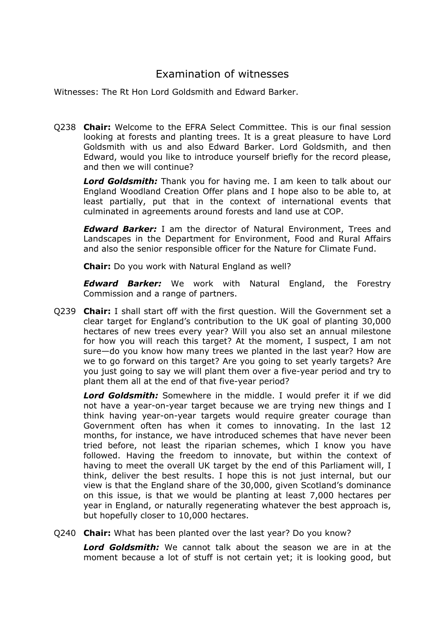### <span id="page-1-0"></span>Examination of witnesses

Witnesses: The Rt Hon Lord Goldsmith and Edward Barker.

Q238 **Chair:** Welcome to the EFRA Select Committee. This is our final session looking at forests and planting trees. It is a great pleasure to have Lord Goldsmith with us and also Edward Barker. Lord Goldsmith, and then Edward, would you like to introduce yourself briefly for the record please, and then we will continue?

*Lord Goldsmith:* Thank you for having me. I am keen to talk about our England Woodland Creation Offer plans and I hope also to be able to, at least partially, put that in the context of international events that culminated in agreements around forests and land use at COP.

*Edward Barker:* I am the director of Natural Environment, Trees and Landscapes in the Department for Environment, Food and Rural Affairs and also the senior responsible officer for the Nature for Climate Fund.

**Chair:** Do you work with Natural England as well?

*Edward Barker:* We work with Natural England, the Forestry Commission and a range of partners.

Q239 **Chair:** I shall start off with the first question. Will the Government set a clear target for England's contribution to the UK goal of planting 30,000 hectares of new trees every year? Will you also set an annual milestone for how you will reach this target? At the moment, I suspect, I am not sure—do you know how many trees we planted in the last year? How are we to go forward on this target? Are you going to set yearly targets? Are you just going to say we will plant them over a five-year period and try to plant them all at the end of that five-year period?

*Lord Goldsmith:* Somewhere in the middle. I would prefer it if we did not have a year-on-year target because we are trying new things and I think having year-on-year targets would require greater courage than Government often has when it comes to innovating. In the last 12 months, for instance, we have introduced schemes that have never been tried before, not least the riparian schemes, which I know you have followed. Having the freedom to innovate, but within the context of having to meet the overall UK target by the end of this Parliament will, I think, deliver the best results. I hope this is not just internal, but our view is that the England share of the 30,000, given Scotland's dominance on this issue, is that we would be planting at least 7,000 hectares per year in England, or naturally regenerating whatever the best approach is, but hopefully closer to 10,000 hectares.

Q240 **Chair:** What has been planted over the last year? Do you know?

*Lord Goldsmith:* We cannot talk about the season we are in at the moment because a lot of stuff is not certain yet; it is looking good, but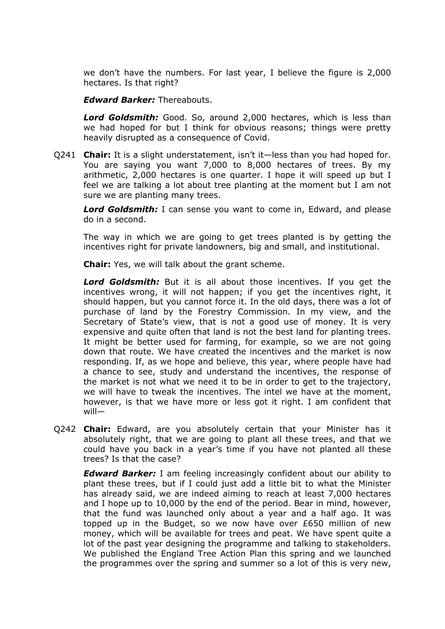we don't have the numbers. For last year, I believe the figure is 2,000 hectares. Is that right?

*Edward Barker:* Thereabouts.

*Lord Goldsmith:* Good. So, around 2,000 hectares, which is less than we had hoped for but I think for obvious reasons; things were pretty heavily disrupted as a consequence of Covid.

Q241 **Chair:** It is a slight understatement, isn't it—less than you had hoped for. You are saying you want 7,000 to 8,000 hectares of trees. By my arithmetic, 2,000 hectares is one quarter. I hope it will speed up but I feel we are talking a lot about tree planting at the moment but I am not sure we are planting many trees.

*Lord Goldsmith:* I can sense you want to come in, Edward, and please do in a second.

The way in which we are going to get trees planted is by getting the incentives right for private landowners, big and small, and institutional.

**Chair:** Yes, we will talk about the grant scheme.

*Lord Goldsmith:* But it is all about those incentives. If you get the incentives wrong, it will not happen; if you get the incentives right, it should happen, but you cannot force it. In the old days, there was a lot of purchase of land by the Forestry Commission. In my view, and the Secretary of State's view, that is not a good use of money. It is very expensive and quite often that land is not the best land for planting trees. It might be better used for farming, for example, so we are not going down that route. We have created the incentives and the market is now responding. If, as we hope and believe, this year, where people have had a chance to see, study and understand the incentives, the response of the market is not what we need it to be in order to get to the trajectory, we will have to tweak the incentives. The intel we have at the moment, however, is that we have more or less got it right. I am confident that will—

Q242 **Chair:** Edward, are you absolutely certain that your Minister has it absolutely right, that we are going to plant all these trees, and that we could have you back in a year's time if you have not planted all these trees? Is that the case?

*Edward Barker:* I am feeling increasingly confident about our ability to plant these trees, but if I could just add a little bit to what the Minister has already said, we are indeed aiming to reach at least 7,000 hectares and I hope up to 10,000 by the end of the period. Bear in mind, however, that the fund was launched only about a year and a half ago. It was topped up in the Budget, so we now have over £650 million of new money, which will be available for trees and peat. We have spent quite a lot of the past year designing the programme and talking to stakeholders. We published the England Tree Action Plan this spring and we launched the programmes over the spring and summer so a lot of this is very new,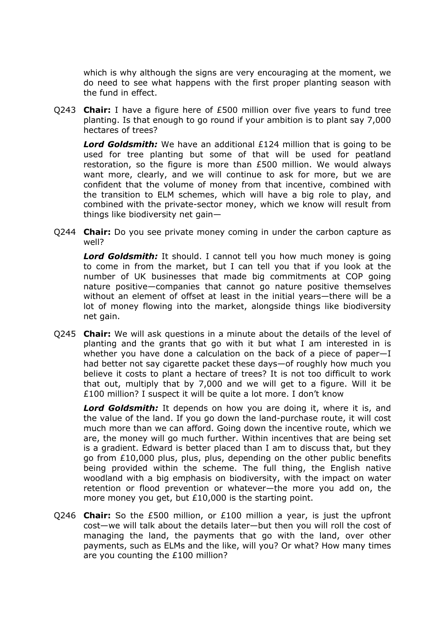which is why although the signs are very encouraging at the moment, we do need to see what happens with the first proper planting season with the fund in effect.

Q243 **Chair:** I have a figure here of £500 million over five years to fund tree planting. Is that enough to go round if your ambition is to plant say 7,000 hectares of trees?

*Lord Goldsmith:* We have an additional £124 million that is going to be used for tree planting but some of that will be used for peatland restoration, so the figure is more than £500 million. We would always want more, clearly, and we will continue to ask for more, but we are confident that the volume of money from that incentive, combined with the transition to ELM schemes, which will have a big role to play, and combined with the private-sector money, which we know will result from things like biodiversity net gain—

Q244 **Chair:** Do you see private money coming in under the carbon capture as well?

*Lord Goldsmith:* It should. I cannot tell you how much money is going to come in from the market, but I can tell you that if you look at the number of UK businesses that made big commitments at COP going nature positive—companies that cannot go nature positive themselves without an element of offset at least in the initial years—there will be a lot of money flowing into the market, alongside things like biodiversity net gain.

Q245 **Chair:** We will ask questions in a minute about the details of the level of planting and the grants that go with it but what I am interested in is whether you have done a calculation on the back of a piece of paper—I had better not say cigarette packet these days—of roughly how much you believe it costs to plant a hectare of trees? It is not too difficult to work that out, multiply that by 7,000 and we will get to a figure. Will it be £100 million? I suspect it will be quite a lot more. I don't know

*Lord Goldsmith:* It depends on how you are doing it, where it is, and the value of the land. If you go down the land-purchase route, it will cost much more than we can afford. Going down the incentive route, which we are, the money will go much further. Within incentives that are being set is a gradient. Edward is better placed than I am to discuss that, but they go from £10,000 plus, plus, plus, depending on the other public benefits being provided within the scheme. The full thing, the English native woodland with a big emphasis on biodiversity, with the impact on water retention or flood prevention or whatever—the more you add on, the more money you get, but £10,000 is the starting point.

Q246 **Chair:** So the £500 million, or £100 million a year, is just the upfront cost—we will talk about the details later—but then you will roll the cost of managing the land, the payments that go with the land, over other payments, such as ELMs and the like, will you? Or what? How many times are you counting the £100 million?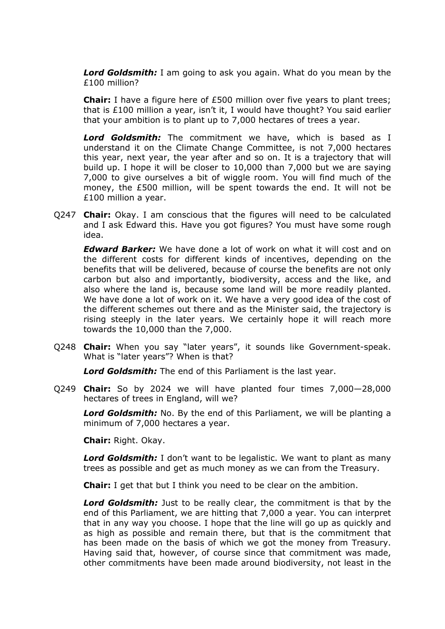*Lord Goldsmith:* I am going to ask you again. What do you mean by the £100 million?

**Chair:** I have a figure here of £500 million over five years to plant trees; that is £100 million a year, isn't it, I would have thought? You said earlier that your ambition is to plant up to 7,000 hectares of trees a year.

*Lord Goldsmith:* The commitment we have, which is based as I understand it on the Climate Change Committee, is not 7,000 hectares this year, next year, the year after and so on. It is a trajectory that will build up. I hope it will be closer to 10,000 than 7,000 but we are saying 7,000 to give ourselves a bit of wiggle room. You will find much of the money, the £500 million, will be spent towards the end. It will not be £100 million a year.

Q247 **Chair:** Okay. I am conscious that the figures will need to be calculated and I ask Edward this. Have you got figures? You must have some rough idea.

*Edward Barker:* We have done a lot of work on what it will cost and on the different costs for different kinds of incentives, depending on the benefits that will be delivered, because of course the benefits are not only carbon but also and importantly, biodiversity, access and the like, and also where the land is, because some land will be more readily planted. We have done a lot of work on it. We have a very good idea of the cost of the different schemes out there and as the Minister said, the trajectory is rising steeply in the later years. We certainly hope it will reach more towards the 10,000 than the 7,000.

Q248 **Chair:** When you say "later years", it sounds like Government-speak. What is "later years"? When is that?

*Lord Goldsmith:* The end of this Parliament is the last year.

Q249 **Chair:** So by 2024 we will have planted four times 7,000—28,000 hectares of trees in England, will we?

*Lord Goldsmith:* No. By the end of this Parliament, we will be planting a minimum of 7,000 hectares a year.

**Chair:** Right. Okay.

*Lord Goldsmith:* I don't want to be legalistic. We want to plant as many trees as possible and get as much money as we can from the Treasury.

**Chair:** I get that but I think you need to be clear on the ambition.

*Lord Goldsmith:* Just to be really clear, the commitment is that by the end of this Parliament, we are hitting that 7,000 a year. You can interpret that in any way you choose. I hope that the line will go up as quickly and as high as possible and remain there, but that is the commitment that has been made on the basis of which we got the money from Treasury. Having said that, however, of course since that commitment was made, other commitments have been made around biodiversity, not least in the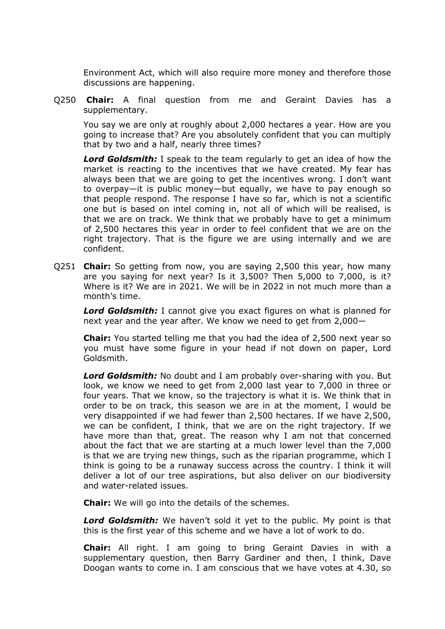Environment Act, which will also require more money and therefore those discussions are happening.

Q250 **Chair:** A final question from me and Geraint Davies has a supplementary.

You say we are only at roughly about 2,000 hectares a year. How are you going to increase that? Are you absolutely confident that you can multiply that by two and a half, nearly three times?

*Lord Goldsmith:* I speak to the team regularly to get an idea of how the market is reacting to the incentives that we have created. My fear has always been that we are going to get the incentives wrong. I don't want to overpay—it is public money—but equally, we have to pay enough so that people respond. The response I have so far, which is not a scientific one but is based on intel coming in, not all of which will be realised, is that we are on track. We think that we probably have to get a minimum of 2,500 hectares this year in order to feel confident that we are on the right trajectory. That is the figure we are using internally and we are confident.

Q251 **Chair:** So getting from now, you are saying 2,500 this year, how many are you saying for next year? Is it 3,500? Then 5,000 to 7,000, is it? Where is it? We are in 2021. We will be in 2022 in not much more than a month's time.

*Lord Goldsmith:* I cannot give you exact figures on what is planned for next year and the year after. We know we need to get from 2,000—

**Chair:** You started telling me that you had the idea of 2,500 next year so you must have some figure in your head if not down on paper, Lord Goldsmith.

*Lord Goldsmith:* No doubt and I am probably over-sharing with you. But look, we know we need to get from 2,000 last year to 7,000 in three or four years. That we know, so the trajectory is what it is. We think that in order to be on track, this season we are in at the moment, I would be very disappointed if we had fewer than 2,500 hectares. If we have 2,500, we can be confident, I think, that we are on the right trajectory. If we have more than that, great. The reason why I am not that concerned about the fact that we are starting at a much lower level than the 7,000 is that we are trying new things, such as the riparian programme, which I think is going to be a runaway success across the country. I think it will deliver a lot of our tree aspirations, but also deliver on our biodiversity and water-related issues.

**Chair:** We will go into the details of the schemes.

*Lord Goldsmith:* We haven't sold it yet to the public. My point is that this is the first year of this scheme and we have a lot of work to do.

**Chair:** All right. I am going to bring Geraint Davies in with a supplementary question, then Barry Gardiner and then, I think, Dave Doogan wants to come in. I am conscious that we have votes at 4.30, so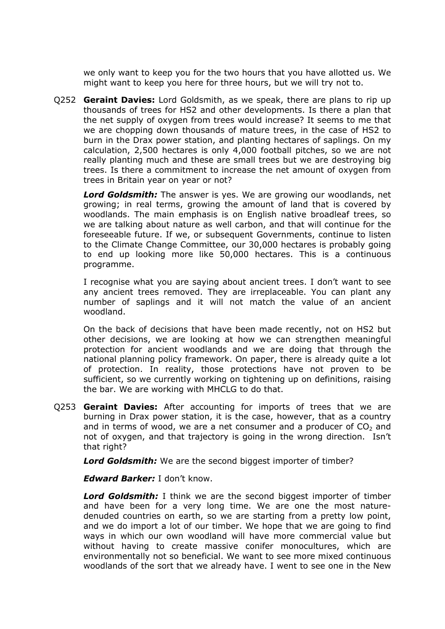we only want to keep you for the two hours that you have allotted us. We might want to keep you here for three hours, but we will try not to.

Q252 **Geraint Davies:** Lord Goldsmith, as we speak, there are plans to rip up thousands of trees for HS2 and other developments. Is there a plan that the net supply of oxygen from trees would increase? It seems to me that we are chopping down thousands of mature trees, in the case of HS2 to burn in the Drax power station, and planting hectares of saplings. On my calculation, 2,500 hectares is only 4,000 football pitches, so we are not really planting much and these are small trees but we are destroying big trees. Is there a commitment to increase the net amount of oxygen from trees in Britain year on year or not?

*Lord Goldsmith:* The answer is yes. We are growing our woodlands, net growing; in real terms, growing the amount of land that is covered by woodlands. The main emphasis is on English native broadleaf trees, so we are talking about nature as well carbon, and that will continue for the foreseeable future. If we, or subsequent Governments, continue to listen to the Climate Change Committee, our 30,000 hectares is probably going to end up looking more like 50,000 hectares. This is a continuous programme.

I recognise what you are saying about ancient trees. I don't want to see any ancient trees removed. They are irreplaceable. You can plant any number of saplings and it will not match the value of an ancient woodland.

On the back of decisions that have been made recently, not on HS2 but other decisions, we are looking at how we can strengthen meaningful protection for ancient woodlands and we are doing that through the national planning policy framework. On paper, there is already quite a lot of protection. In reality, those protections have not proven to be sufficient, so we currently working on tightening up on definitions, raising the bar. We are working with MHCLG to do that.

Q253 **Geraint Davies:** After accounting for imports of trees that we are burning in Drax power station, it is the case, however, that as a country and in terms of wood, we are a net consumer and a producer of  $CO<sub>2</sub>$  and not of oxygen, and that trajectory is going in the wrong direction. Isn't that right?

*Lord Goldsmith:* We are the second biggest importer of timber?

*Edward Barker:* I don't know.

*Lord Goldsmith:* I think we are the second biggest importer of timber and have been for a very long time. We are one the most naturedenuded countries on earth, so we are starting from a pretty low point, and we do import a lot of our timber. We hope that we are going to find ways in which our own woodland will have more commercial value but without having to create massive conifer monocultures, which are environmentally not so beneficial. We want to see more mixed continuous woodlands of the sort that we already have. I went to see one in the New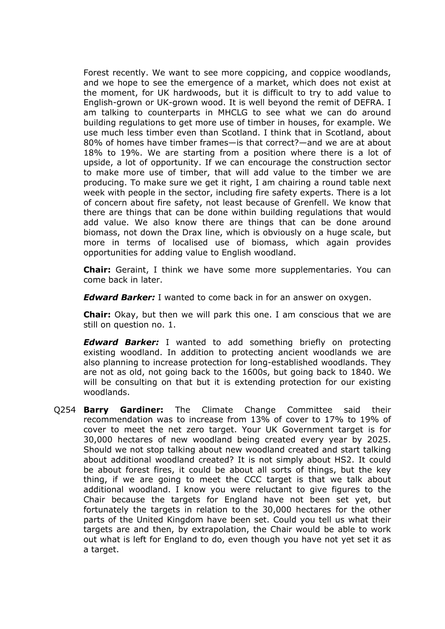Forest recently. We want to see more coppicing, and coppice woodlands, and we hope to see the emergence of a market, which does not exist at the moment, for UK hardwoods, but it is difficult to try to add value to English-grown or UK-grown wood. It is well beyond the remit of DEFRA. I am talking to counterparts in MHCLG to see what we can do around building regulations to get more use of timber in houses, for example. We use much less timber even than Scotland. I think that in Scotland, about 80% of homes have timber frames—is that correct?—and we are at about 18% to 19%. We are starting from a position where there is a lot of upside, a lot of opportunity. If we can encourage the construction sector to make more use of timber, that will add value to the timber we are producing. To make sure we get it right, I am chairing a round table next week with people in the sector, including fire safety experts. There is a lot of concern about fire safety, not least because of Grenfell. We know that there are things that can be done within building regulations that would add value. We also know there are things that can be done around biomass, not down the Drax line, which is obviously on a huge scale, but more in terms of localised use of biomass, which again provides opportunities for adding value to English woodland.

**Chair:** Geraint, I think we have some more supplementaries. You can come back in later.

*Edward Barker:* I wanted to come back in for an answer on oxygen.

**Chair:** Okay, but then we will park this one. I am conscious that we are still on question no. 1.

*Edward Barker:* I wanted to add something briefly on protecting existing woodland. In addition to protecting ancient woodlands we are also planning to increase protection for long-established woodlands. They are not as old, not going back to the 1600s, but going back to 1840. We will be consulting on that but it is extending protection for our existing woodlands.

Q254 **Barry Gardiner:** The Climate Change Committee said their recommendation was to increase from 13% of cover to 17% to 19% of cover to meet the net zero target. Your UK Government target is for 30,000 hectares of new woodland being created every year by 2025. Should we not stop talking about new woodland created and start talking about additional woodland created? It is not simply about HS2. It could be about forest fires, it could be about all sorts of things, but the key thing, if we are going to meet the CCC target is that we talk about additional woodland. I know you were reluctant to give figures to the Chair because the targets for England have not been set yet, but fortunately the targets in relation to the 30,000 hectares for the other parts of the United Kingdom have been set. Could you tell us what their targets are and then, by extrapolation, the Chair would be able to work out what is left for England to do, even though you have not yet set it as a target.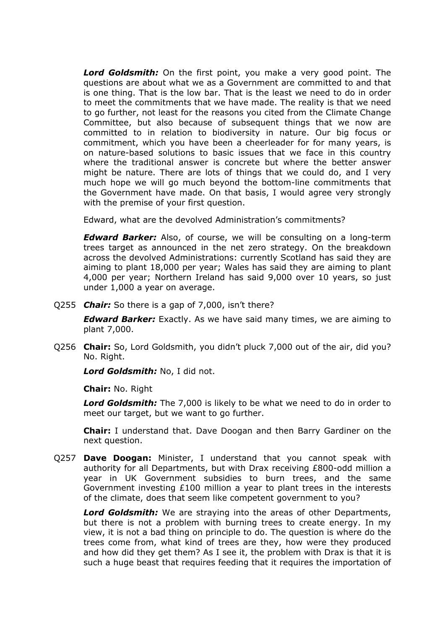*Lord Goldsmith:* On the first point, you make a very good point. The questions are about what we as a Government are committed to and that is one thing. That is the low bar. That is the least we need to do in order to meet the commitments that we have made. The reality is that we need to go further, not least for the reasons you cited from the Climate Change Committee, but also because of subsequent things that we now are committed to in relation to biodiversity in nature. Our big focus or commitment, which you have been a cheerleader for for many years, is on nature-based solutions to basic issues that we face in this country where the traditional answer is concrete but where the better answer might be nature. There are lots of things that we could do, and I very much hope we will go much beyond the bottom-line commitments that the Government have made. On that basis, I would agree very strongly with the premise of your first question.

Edward, what are the devolved Administration's commitments?

*Edward Barker:* Also, of course, we will be consulting on a long-term trees target as announced in the net zero strategy. On the breakdown across the devolved Administrations: currently Scotland has said they are aiming to plant 18,000 per year; Wales has said they are aiming to plant 4,000 per year; Northern Ireland has said 9,000 over 10 years, so just under 1,000 a year on average.

Q255 *Chair:* So there is a gap of 7,000, isn't there?

*Edward Barker:* Exactly. As we have said many times, we are aiming to plant 7,000.

Q256 **Chair:** So, Lord Goldsmith, you didn't pluck 7,000 out of the air, did you? No. Right.

*Lord Goldsmith:* No, I did not.

**Chair:** No. Right

*Lord Goldsmith:* The 7,000 is likely to be what we need to do in order to meet our target, but we want to go further.

**Chair:** I understand that. Dave Doogan and then Barry Gardiner on the next question.

Q257 **Dave Doogan:** Minister, I understand that you cannot speak with authority for all Departments, but with Drax receiving £800-odd million a year in UK Government subsidies to burn trees, and the same Government investing £100 million a year to plant trees in the interests of the climate, does that seem like competent government to you?

*Lord Goldsmith:* We are straying into the areas of other Departments, but there is not a problem with burning trees to create energy. In my view, it is not a bad thing on principle to do. The question is where do the trees come from, what kind of trees are they, how were they produced and how did they get them? As I see it, the problem with Drax is that it is such a huge beast that requires feeding that it requires the importation of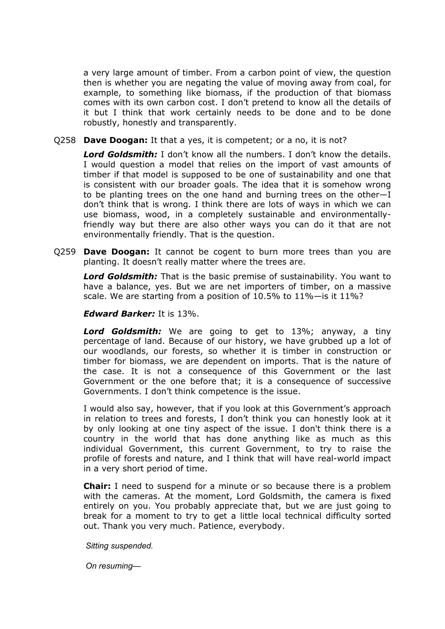a very large amount of timber. From a carbon point of view, the question then is whether you are negating the value of moving away from coal, for example, to something like biomass, if the production of that biomass comes with its own carbon cost. I don't pretend to know all the details of it but I think that work certainly needs to be done and to be done robustly, honestly and transparently.

Q258 **Dave Doogan:** It that a yes, it is competent; or a no, it is not?

*Lord Goldsmith:* I don't know all the numbers. I don't know the details. I would question a model that relies on the import of vast amounts of timber if that model is supposed to be one of sustainability and one that is consistent with our broader goals. The idea that it is somehow wrong to be planting trees on the one hand and burning trees on the other—I don't think that is wrong. I think there are lots of ways in which we can use biomass, wood, in a completely sustainable and environmentallyfriendly way but there are also other ways you can do it that are not environmentally friendly. That is the question.

Q259 **Dave Doogan:** It cannot be cogent to burn more trees than you are planting. It doesn't really matter where the trees are.

*Lord Goldsmith:* That is the basic premise of sustainability. You want to have a balance, yes. But we are net importers of timber, on a massive scale. We are starting from a position of 10.5% to 11%—is it 11%?

#### *Edward Barker:* It is 13%.

*Lord Goldsmith:* We are going to get to 13%; anyway, a tiny percentage of land. Because of our history, we have grubbed up a lot of our woodlands, our forests, so whether it is timber in construction or timber for biomass, we are dependent on imports. That is the nature of the case. It is not a consequence of this Government or the last Government or the one before that; it is a consequence of successive Governments. I don't think competence is the issue.

I would also say, however, that if you look at this Government's approach in relation to trees and forests, I don't think you can honestly look at it by only looking at one tiny aspect of the issue. I don't think there is a country in the world that has done anything like as much as this individual Government, this current Government, to try to raise the profile of forests and nature, and I think that will have real-world impact in a very short period of time.

**Chair:** I need to suspend for a minute or so because there is a problem with the cameras. At the moment, Lord Goldsmith, the camera is fixed entirely on you. You probably appreciate that, but we are just going to break for a moment to try to get a little local technical difficulty sorted out. Thank you very much. Patience, everybody.

*Sitting suspended.*

*On resuming*—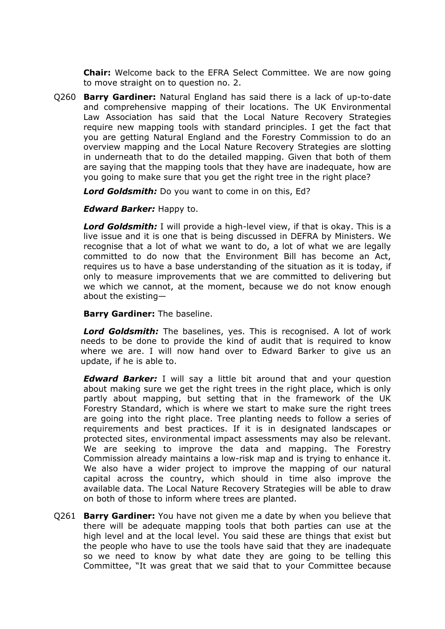**Chair:** Welcome back to the EFRA Select Committee. We are now going to move straight on to question no. 2.

Q260 **Barry Gardiner:** Natural England has said there is a lack of up-to-date and comprehensive mapping of their locations. The UK Environmental Law Association has said that the Local Nature Recovery Strategies require new mapping tools with standard principles. I get the fact that you are getting Natural England and the Forestry Commission to do an overview mapping and the Local Nature Recovery Strategies are slotting in underneath that to do the detailed mapping. Given that both of them are saying that the mapping tools that they have are inadequate, how are you going to make sure that you get the right tree in the right place?

*Lord Goldsmith:* Do you want to come in on this, Ed?

*Edward Barker:* Happy to.

*Lord Goldsmith:* I will provide a high-level view, if that is okay. This is a live issue and it is one that is being discussed in DEFRA by Ministers. We recognise that a lot of what we want to do, a lot of what we are legally committed to do now that the Environment Bill has become an Act, requires us to have a base understanding of the situation as it is today, if only to measure improvements that we are committed to delivering but we which we cannot, at the moment, because we do not know enough about the existing—

**Barry Gardiner:** The baseline.

*Lord Goldsmith:* The baselines, yes. This is recognised. A lot of work needs to be done to provide the kind of audit that is required to know where we are. I will now hand over to Edward Barker to give us an update, if he is able to.

*Edward Barker:* I will say a little bit around that and your question about making sure we get the right trees in the right place, which is only partly about mapping, but setting that in the framework of the UK Forestry Standard, which is where we start to make sure the right trees are going into the right place. Tree planting needs to follow a series of requirements and best practices. If it is in designated landscapes or protected sites, environmental impact assessments may also be relevant. We are seeking to improve the data and mapping. The Forestry Commission already maintains a low-risk map and is trying to enhance it. We also have a wider project to improve the mapping of our natural capital across the country, which should in time also improve the available data. The Local Nature Recovery Strategies will be able to draw on both of those to inform where trees are planted.

Q261 **Barry Gardiner:** You have not given me a date by when you believe that there will be adequate mapping tools that both parties can use at the high level and at the local level. You said these are things that exist but the people who have to use the tools have said that they are inadequate so we need to know by what date they are going to be telling this Committee, "It was great that we said that to your Committee because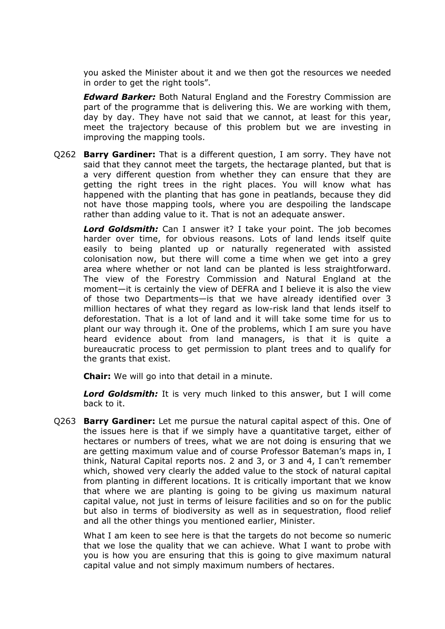you asked the Minister about it and we then got the resources we needed in order to get the right tools".

*Edward Barker:* Both Natural England and the Forestry Commission are part of the programme that is delivering this. We are working with them, day by day. They have not said that we cannot, at least for this year, meet the trajectory because of this problem but we are investing in improving the mapping tools.

Q262 **Barry Gardiner:** That is a different question, I am sorry. They have not said that they cannot meet the targets, the hectarage planted, but that is a very different question from whether they can ensure that they are getting the right trees in the right places. You will know what has happened with the planting that has gone in peatlands, because they did not have those mapping tools, where you are despoiling the landscape rather than adding value to it. That is not an adequate answer.

*Lord Goldsmith:* Can I answer it? I take your point. The job becomes harder over time, for obvious reasons. Lots of land lends itself quite easily to being planted up or naturally regenerated with assisted colonisation now, but there will come a time when we get into a grey area where whether or not land can be planted is less straightforward. The view of the Forestry Commission and Natural England at the moment—it is certainly the view of DEFRA and I believe it is also the view of those two Departments—is that we have already identified over 3 million hectares of what they regard as low-risk land that lends itself to deforestation. That is a lot of land and it will take some time for us to plant our way through it. One of the problems, which I am sure you have heard evidence about from land managers, is that it is quite a bureaucratic process to get permission to plant trees and to qualify for the grants that exist.

**Chair:** We will go into that detail in a minute.

*Lord Goldsmith:* It is very much linked to this answer, but I will come back to it.

Q263 **Barry Gardiner:** Let me pursue the natural capital aspect of this. One of the issues here is that if we simply have a quantitative target, either of hectares or numbers of trees, what we are not doing is ensuring that we are getting maximum value and of course Professor Bateman's maps in, I think, Natural Capital reports nos. 2 and 3, or 3 and 4, I can't remember which, showed very clearly the added value to the stock of natural capital from planting in different locations. It is critically important that we know that where we are planting is going to be giving us maximum natural capital value, not just in terms of leisure facilities and so on for the public but also in terms of biodiversity as well as in sequestration, flood relief and all the other things you mentioned earlier, Minister.

What I am keen to see here is that the targets do not become so numeric that we lose the quality that we can achieve. What I want to probe with you is how you are ensuring that this is going to give maximum natural capital value and not simply maximum numbers of hectares.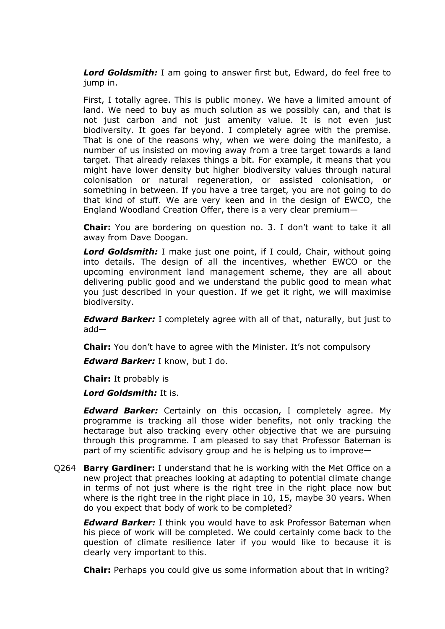*Lord Goldsmith:* I am going to answer first but, Edward, do feel free to jump in.

First, I totally agree. This is public money. We have a limited amount of land. We need to buy as much solution as we possibly can, and that is not just carbon and not just amenity value. It is not even just biodiversity. It goes far beyond. I completely agree with the premise. That is one of the reasons why, when we were doing the manifesto, a number of us insisted on moving away from a tree target towards a land target. That already relaxes things a bit. For example, it means that you might have lower density but higher biodiversity values through natural colonisation or natural regeneration, or assisted colonisation, or something in between. If you have a tree target, you are not going to do that kind of stuff. We are very keen and in the design of EWCO, the England Woodland Creation Offer, there is a very clear premium—

**Chair:** You are bordering on question no. 3. I don't want to take it all away from Dave Doogan.

*Lord Goldsmith:* I make just one point, if I could, Chair, without going into details. The design of all the incentives, whether EWCO or the upcoming environment land management scheme, they are all about delivering public good and we understand the public good to mean what you just described in your question. If we get it right, we will maximise biodiversity.

*Edward Barker:* I completely agree with all of that, naturally, but just to add—

**Chair:** You don't have to agree with the Minister. It's not compulsory

*Edward Barker:* I know, but I do.

**Chair:** It probably is

*Lord Goldsmith:* It is.

*Edward Barker:* Certainly on this occasion, I completely agree. My programme is tracking all those wider benefits, not only tracking the hectarage but also tracking every other objective that we are pursuing through this programme. I am pleased to say that Professor Bateman is part of my scientific advisory group and he is helping us to improve—

Q264 **Barry Gardiner:** I understand that he is working with the Met Office on a new project that preaches looking at adapting to potential climate change in terms of not just where is the right tree in the right place now but where is the right tree in the right place in 10, 15, maybe 30 years. When do you expect that body of work to be completed?

*Edward Barker:* I think you would have to ask Professor Bateman when his piece of work will be completed. We could certainly come back to the question of climate resilience later if you would like to because it is clearly very important to this.

**Chair:** Perhaps you could give us some information about that in writing?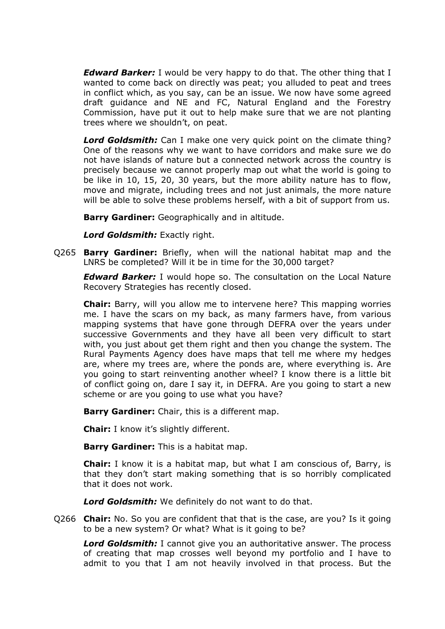*Edward Barker:* I would be very happy to do that. The other thing that I wanted to come back on directly was peat; you alluded to peat and trees in conflict which, as you say, can be an issue. We now have some agreed draft guidance and NE and FC, Natural England and the Forestry Commission, have put it out to help make sure that we are not planting trees where we shouldn't, on peat.

*Lord Goldsmith:* Can I make one very quick point on the climate thing? One of the reasons why we want to have corridors and make sure we do not have islands of nature but a connected network across the country is precisely because we cannot properly map out what the world is going to be like in 10, 15, 20, 30 years, but the more ability nature has to flow, move and migrate, including trees and not just animals, the more nature will be able to solve these problems herself, with a bit of support from us.

**Barry Gardiner:** Geographically and in altitude.

*Lord Goldsmith:* Exactly right.

Q265 **Barry Gardiner:** Briefly, when will the national habitat map and the LNRS be completed? Will it be in time for the 30,000 target?

*Edward Barker:* I would hope so. The consultation on the Local Nature Recovery Strategies has recently closed.

**Chair:** Barry, will you allow me to intervene here? This mapping worries me. I have the scars on my back, as many farmers have, from various mapping systems that have gone through DEFRA over the years under successive Governments and they have all been very difficult to start with, you just about get them right and then you change the system. The Rural Payments Agency does have maps that tell me where my hedges are, where my trees are, where the ponds are, where everything is. Are you going to start reinventing another wheel? I know there is a little bit of conflict going on, dare I say it, in DEFRA. Are you going to start a new scheme or are you going to use what you have?

**Barry Gardiner:** Chair, this is a different map.

**Chair:** I know it's slightly different.

**Barry Gardiner:** This is a habitat map.

**Chair:** I know it is a habitat map, but what I am conscious of, Barry, is that they don't start making something that is so horribly complicated that it does not work.

*Lord Goldsmith:* We definitely do not want to do that.

Q266 **Chair:** No. So you are confident that that is the case, are you? Is it going to be a new system? Or what? What is it going to be?

*Lord Goldsmith:* I cannot give you an authoritative answer. The process of creating that map crosses well beyond my portfolio and I have to admit to you that I am not heavily involved in that process. But the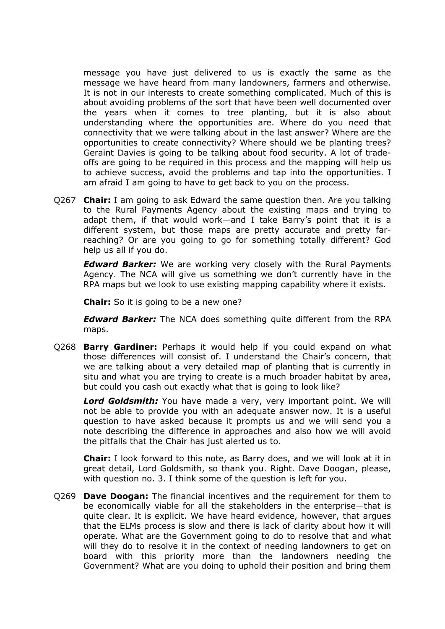message you have just delivered to us is exactly the same as the message we have heard from many landowners, farmers and otherwise. It is not in our interests to create something complicated. Much of this is about avoiding problems of the sort that have been well documented over the years when it comes to tree planting, but it is also about understanding where the opportunities are. Where do you need that connectivity that we were talking about in the last answer? Where are the opportunities to create connectivity? Where should we be planting trees? Geraint Davies is going to be talking about food security. A lot of tradeoffs are going to be required in this process and the mapping will help us to achieve success, avoid the problems and tap into the opportunities. I am afraid I am going to have to get back to you on the process.

Q267 **Chair:** I am going to ask Edward the same question then. Are you talking to the Rural Payments Agency about the existing maps and trying to adapt them, if that would work—and I take Barry's point that it is a different system, but those maps are pretty accurate and pretty farreaching? Or are you going to go for something totally different? God help us all if you do.

*Edward Barker:* We are working very closely with the Rural Payments Agency. The NCA will give us something we don't currently have in the RPA maps but we look to use existing mapping capability where it exists.

**Chair:** So it is going to be a new one?

*Edward Barker:* The NCA does something quite different from the RPA maps.

Q268 **Barry Gardiner:** Perhaps it would help if you could expand on what those differences will consist of. I understand the Chair's concern, that we are talking about a very detailed map of planting that is currently in situ and what you are trying to create is a much broader habitat by area, but could you cash out exactly what that is going to look like?

*Lord Goldsmith:* You have made a very, very important point. We will not be able to provide you with an adequate answer now. It is a useful question to have asked because it prompts us and we will send you a note describing the difference in approaches and also how we will avoid the pitfalls that the Chair has just alerted us to.

**Chair:** I look forward to this note, as Barry does, and we will look at it in great detail, Lord Goldsmith, so thank you. Right. Dave Doogan, please, with question no. 3. I think some of the question is left for you.

Q269 **Dave Doogan:** The financial incentives and the requirement for them to be economically viable for all the stakeholders in the enterprise—that is quite clear. It is explicit. We have heard evidence, however, that argues that the ELMs process is slow and there is lack of clarity about how it will operate. What are the Government going to do to resolve that and what will they do to resolve it in the context of needing landowners to get on board with this priority more than the landowners needing the Government? What are you doing to uphold their position and bring them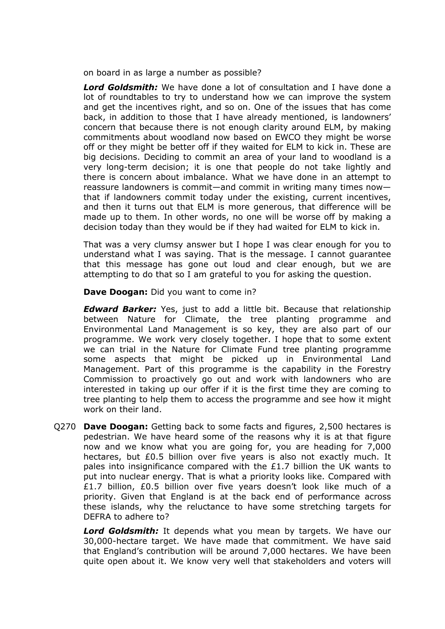on board in as large a number as possible?

*Lord Goldsmith:* We have done a lot of consultation and I have done a lot of roundtables to try to understand how we can improve the system and get the incentives right, and so on. One of the issues that has come back, in addition to those that I have already mentioned, is landowners' concern that because there is not enough clarity around ELM, by making commitments about woodland now based on EWCO they might be worse off or they might be better off if they waited for ELM to kick in. These are big decisions. Deciding to commit an area of your land to woodland is a very long-term decision; it is one that people do not take lightly and there is concern about imbalance. What we have done in an attempt to reassure landowners is commit—and commit in writing many times now that if landowners commit today under the existing, current incentives, and then it turns out that ELM is more generous, that difference will be made up to them. In other words, no one will be worse off by making a decision today than they would be if they had waited for ELM to kick in.

That was a very clumsy answer but I hope I was clear enough for you to understand what I was saying. That is the message. I cannot guarantee that this message has gone out loud and clear enough, but we are attempting to do that so I am grateful to you for asking the question.

**Dave Doogan:** Did you want to come in?

*Edward Barker:* Yes, just to add a little bit. Because that relationship between Nature for Climate, the tree planting programme and Environmental Land Management is so key, they are also part of our programme. We work very closely together. I hope that to some extent we can trial in the Nature for Climate Fund tree planting programme some aspects that might be picked up in Environmental Land Management. Part of this programme is the capability in the Forestry Commission to proactively go out and work with landowners who are interested in taking up our offer if it is the first time they are coming to tree planting to help them to access the programme and see how it might work on their land.

Q270 **Dave Doogan:** Getting back to some facts and figures, 2,500 hectares is pedestrian. We have heard some of the reasons why it is at that figure now and we know what you are going for, you are heading for 7,000 hectares, but £0.5 billion over five years is also not exactly much. It pales into insignificance compared with the £1.7 billion the UK wants to put into nuclear energy. That is what a priority looks like. Compared with £1.7 billion, £0.5 billion over five years doesn't look like much of a priority. Given that England is at the back end of performance across these islands, why the reluctance to have some stretching targets for DEFRA to adhere to?

*Lord Goldsmith:* It depends what you mean by targets. We have our 30,000-hectare target. We have made that commitment. We have said that England's contribution will be around 7,000 hectares. We have been quite open about it. We know very well that stakeholders and voters will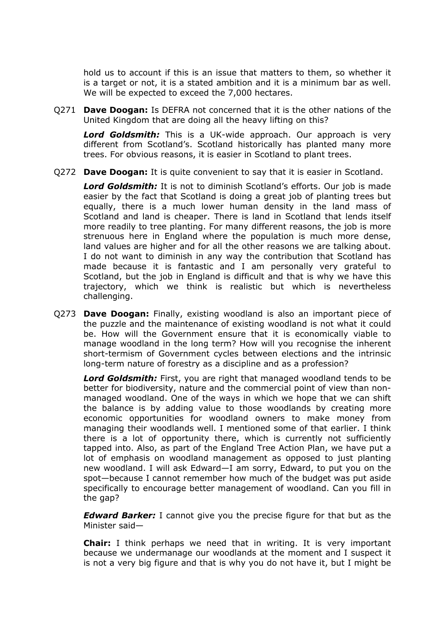hold us to account if this is an issue that matters to them, so whether it is a target or not, it is a stated ambition and it is a minimum bar as well. We will be expected to exceed the 7,000 hectares.

Q271 **Dave Doogan:** Is DEFRA not concerned that it is the other nations of the United Kingdom that are doing all the heavy lifting on this?

*Lord Goldsmith:* This is a UK-wide approach. Our approach is very different from Scotland's. Scotland historically has planted many more trees. For obvious reasons, it is easier in Scotland to plant trees.

Q272 **Dave Doogan:** It is quite convenient to say that it is easier in Scotland.

*Lord Goldsmith:* It is not to diminish Scotland's efforts. Our job is made easier by the fact that Scotland is doing a great job of planting trees but equally, there is a much lower human density in the land mass of Scotland and land is cheaper. There is land in Scotland that lends itself more readily to tree planting. For many different reasons, the job is more strenuous here in England where the population is much more dense, land values are higher and for all the other reasons we are talking about. I do not want to diminish in any way the contribution that Scotland has made because it is fantastic and I am personally very grateful to Scotland, but the job in England is difficult and that is why we have this trajectory, which we think is realistic but which is nevertheless challenging.

Q273 **Dave Doogan:** Finally, existing woodland is also an important piece of the puzzle and the maintenance of existing woodland is not what it could be. How will the Government ensure that it is economically viable to manage woodland in the long term? How will you recognise the inherent short-termism of Government cycles between elections and the intrinsic long-term nature of forestry as a discipline and as a profession?

*Lord Goldsmith:* First, you are right that managed woodland tends to be better for biodiversity, nature and the commercial point of view than nonmanaged woodland. One of the ways in which we hope that we can shift the balance is by adding value to those woodlands by creating more economic opportunities for woodland owners to make money from managing their woodlands well. I mentioned some of that earlier. I think there is a lot of opportunity there, which is currently not sufficiently tapped into. Also, as part of the England Tree Action Plan, we have put a lot of emphasis on woodland management as opposed to just planting new woodland. I will ask Edward—I am sorry, Edward, to put you on the spot—because I cannot remember how much of the budget was put aside specifically to encourage better management of woodland. Can you fill in the gap?

*Edward Barker:* I cannot give you the precise figure for that but as the Minister said—

**Chair:** I think perhaps we need that in writing. It is very important because we undermanage our woodlands at the moment and I suspect it is not a very big figure and that is why you do not have it, but I might be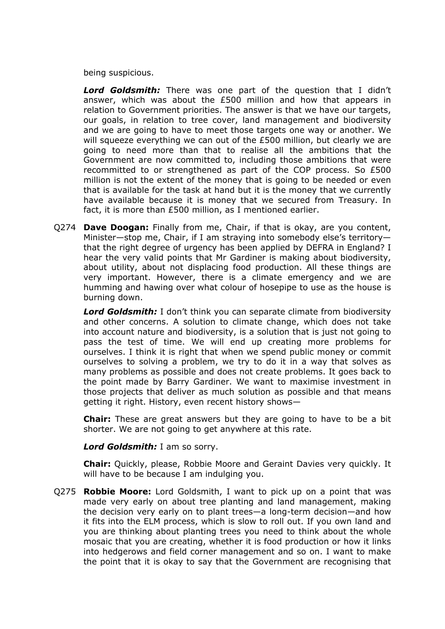being suspicious.

*Lord Goldsmith:* There was one part of the question that I didn't answer, which was about the £500 million and how that appears in relation to Government priorities. The answer is that we have our targets, our goals, in relation to tree cover, land management and biodiversity and we are going to have to meet those targets one way or another. We will squeeze everything we can out of the £500 million, but clearly we are going to need more than that to realise all the ambitions that the Government are now committed to, including those ambitions that were recommitted to or strengthened as part of the COP process. So £500 million is not the extent of the money that is going to be needed or even that is available for the task at hand but it is the money that we currently have available because it is money that we secured from Treasury. In fact, it is more than £500 million, as I mentioned earlier.

Q274 **Dave Doogan:** Finally from me, Chair, if that is okay, are you content, Minister—stop me, Chair, if I am straying into somebody else's territory that the right degree of urgency has been applied by DEFRA in England? I hear the very valid points that Mr Gardiner is making about biodiversity, about utility, about not displacing food production. All these things are very important. However, there is a climate emergency and we are humming and hawing over what colour of hosepipe to use as the house is burning down.

*Lord Goldsmith:* I don't think you can separate climate from biodiversity and other concerns. A solution to climate change, which does not take into account nature and biodiversity, is a solution that is just not going to pass the test of time. We will end up creating more problems for ourselves. I think it is right that when we spend public money or commit ourselves to solving a problem, we try to do it in a way that solves as many problems as possible and does not create problems. It goes back to the point made by Barry Gardiner. We want to maximise investment in those projects that deliver as much solution as possible and that means getting it right. History, even recent history shows—

**Chair:** These are great answers but they are going to have to be a bit shorter. We are not going to get anywhere at this rate.

*Lord Goldsmith:* I am so sorry.

**Chair:** Quickly, please, Robbie Moore and Geraint Davies very quickly. It will have to be because I am indulging you.

Q275 **Robbie Moore:** Lord Goldsmith, I want to pick up on a point that was made very early on about tree planting and land management, making the decision very early on to plant trees—a long-term decision—and how it fits into the ELM process, which is slow to roll out. If you own land and you are thinking about planting trees you need to think about the whole mosaic that you are creating, whether it is food production or how it links into hedgerows and field corner management and so on. I want to make the point that it is okay to say that the Government are recognising that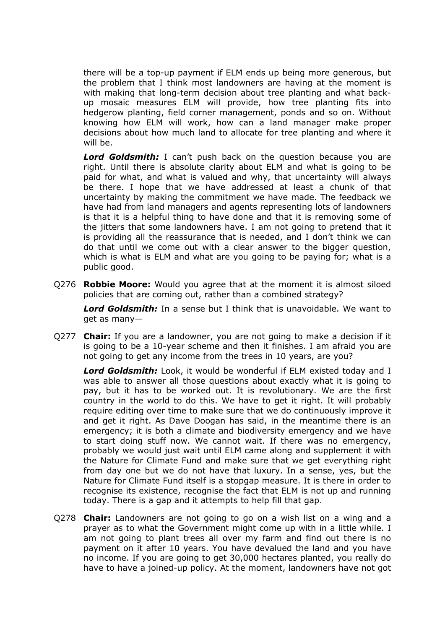there will be a top-up payment if ELM ends up being more generous, but the problem that I think most landowners are having at the moment is with making that long-term decision about tree planting and what backup mosaic measures ELM will provide, how tree planting fits into hedgerow planting, field corner management, ponds and so on. Without knowing how ELM will work, how can a land manager make proper decisions about how much land to allocate for tree planting and where it will be.

**Lord Goldsmith:** I can't push back on the question because you are right. Until there is absolute clarity about ELM and what is going to be paid for what, and what is valued and why, that uncertainty will always be there. I hope that we have addressed at least a chunk of that uncertainty by making the commitment we have made. The feedback we have had from land managers and agents representing lots of landowners is that it is a helpful thing to have done and that it is removing some of the jitters that some landowners have. I am not going to pretend that it is providing all the reassurance that is needed, and I don't think we can do that until we come out with a clear answer to the bigger question, which is what is ELM and what are you going to be paying for; what is a public good.

Q276 **Robbie Moore:** Would you agree that at the moment it is almost siloed policies that are coming out, rather than a combined strategy?

*Lord Goldsmith:* In a sense but I think that is unavoidable. We want to get as many—

Q277 **Chair:** If you are a landowner, you are not going to make a decision if it is going to be a 10-year scheme and then it finishes. I am afraid you are not going to get any income from the trees in 10 years, are you?

*Lord Goldsmith:* Look, it would be wonderful if ELM existed today and I was able to answer all those questions about exactly what it is going to pay, but it has to be worked out. It is revolutionary. We are the first country in the world to do this. We have to get it right. It will probably require editing over time to make sure that we do continuously improve it and get it right. As Dave Doogan has said, in the meantime there is an emergency; it is both a climate and biodiversity emergency and we have to start doing stuff now. We cannot wait. If there was no emergency, probably we would just wait until ELM came along and supplement it with the Nature for Climate Fund and make sure that we get everything right from day one but we do not have that luxury. In a sense, yes, but the Nature for Climate Fund itself is a stopgap measure. It is there in order to recognise its existence, recognise the fact that ELM is not up and running today. There is a gap and it attempts to help fill that gap.

Q278 **Chair:** Landowners are not going to go on a wish list on a wing and a prayer as to what the Government might come up with in a little while. I am not going to plant trees all over my farm and find out there is no payment on it after 10 years. You have devalued the land and you have no income. If you are going to get 30,000 hectares planted, you really do have to have a joined-up policy. At the moment, landowners have not got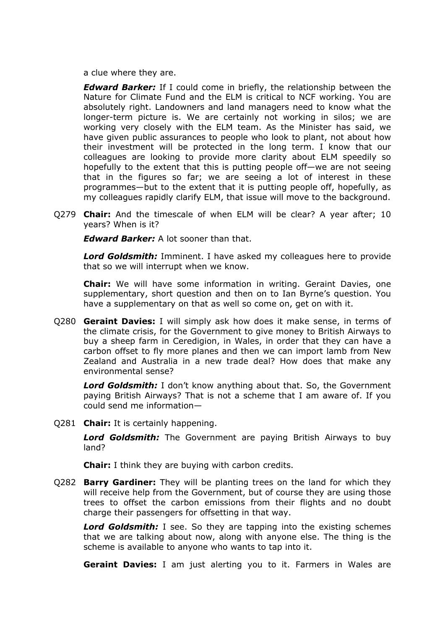a clue where they are.

*Edward Barker:* If I could come in briefly, the relationship between the Nature for Climate Fund and the ELM is critical to NCF working. You are absolutely right. Landowners and land managers need to know what the longer-term picture is. We are certainly not working in silos; we are working very closely with the ELM team. As the Minister has said, we have given public assurances to people who look to plant, not about how their investment will be protected in the long term. I know that our colleagues are looking to provide more clarity about ELM speedily so hopefully to the extent that this is putting people off—we are not seeing that in the figures so far; we are seeing a lot of interest in these programmes—but to the extent that it is putting people off, hopefully, as my colleagues rapidly clarify ELM, that issue will move to the background.

Q279 **Chair:** And the timescale of when ELM will be clear? A year after; 10 years? When is it?

*Edward Barker:* A lot sooner than that.

*Lord Goldsmith:* Imminent. I have asked my colleagues here to provide that so we will interrupt when we know.

**Chair:** We will have some information in writing. Geraint Davies, one supplementary, short question and then on to Ian Byrne's question. You have a supplementary on that as well so come on, get on with it.

Q280 **Geraint Davies:** I will simply ask how does it make sense, in terms of the climate crisis, for the Government to give money to British Airways to buy a sheep farm in Ceredigion, in Wales, in order that they can have a carbon offset to fly more planes and then we can import lamb from New Zealand and Australia in a new trade deal? How does that make any environmental sense?

*Lord Goldsmith:* I don't know anything about that. So, the Government paying British Airways? That is not a scheme that I am aware of. If you could send me information—

Q281 **Chair:** It is certainly happening.

*Lord Goldsmith:* The Government are paying British Airways to buy land?

**Chair:** I think they are buying with carbon credits.

Q282 **Barry Gardiner:** They will be planting trees on the land for which they will receive help from the Government, but of course they are using those trees to offset the carbon emissions from their flights and no doubt charge their passengers for offsetting in that way.

*Lord Goldsmith:* I see. So they are tapping into the existing schemes that we are talking about now, along with anyone else. The thing is the scheme is available to anyone who wants to tap into it.

**Geraint Davies:** I am just alerting you to it. Farmers in Wales are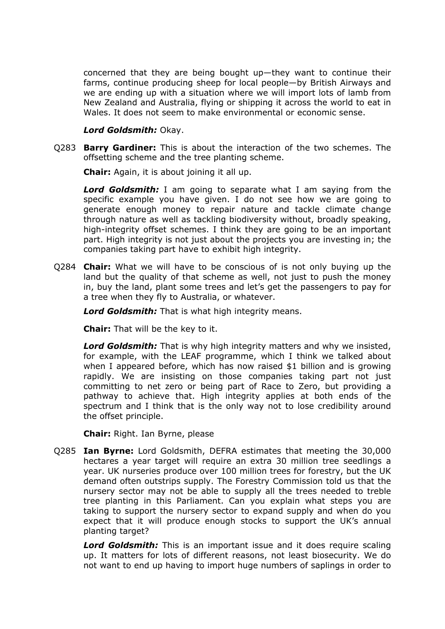concerned that they are being bought up—they want to continue their farms, continue producing sheep for local people—by British Airways and we are ending up with a situation where we will import lots of lamb from New Zealand and Australia, flying or shipping it across the world to eat in Wales. It does not seem to make environmental or economic sense.

#### *Lord Goldsmith:* Okay.

Q283 **Barry Gardiner:** This is about the interaction of the two schemes. The offsetting scheme and the tree planting scheme.

**Chair:** Again, it is about joining it all up.

*Lord Goldsmith:* I am going to separate what I am saying from the specific example you have given. I do not see how we are going to generate enough money to repair nature and tackle climate change through nature as well as tackling biodiversity without, broadly speaking, high-integrity offset schemes. I think they are going to be an important part. High integrity is not just about the projects you are investing in; the companies taking part have to exhibit high integrity.

Q284 **Chair:** What we will have to be conscious of is not only buying up the land but the quality of that scheme as well, not just to push the money in, buy the land, plant some trees and let's get the passengers to pay for a tree when they fly to Australia, or whatever.

*Lord Goldsmith:* That is what high integrity means.

**Chair:** That will be the key to it.

*Lord Goldsmith:* That is why high integrity matters and why we insisted, for example, with the LEAF programme, which I think we talked about when I appeared before, which has now raised \$1 billion and is growing rapidly. We are insisting on those companies taking part not just committing to net zero or being part of Race to Zero, but providing a pathway to achieve that. High integrity applies at both ends of the spectrum and I think that is the only way not to lose credibility around the offset principle.

**Chair:** Right. Ian Byrne, please

Q285 **Ian Byrne:** Lord Goldsmith, DEFRA estimates that meeting the 30,000 hectares a year target will require an extra 30 million tree seedlings a year. UK nurseries produce over 100 million trees for forestry, but the UK demand often outstrips supply. The Forestry Commission told us that the nursery sector may not be able to supply all the trees needed to treble tree planting in this Parliament. Can you explain what steps you are taking to support the nursery sector to expand supply and when do you expect that it will produce enough stocks to support the UK's annual planting target?

*Lord Goldsmith:* This is an important issue and it does require scaling up. It matters for lots of different reasons, not least biosecurity. We do not want to end up having to import huge numbers of saplings in order to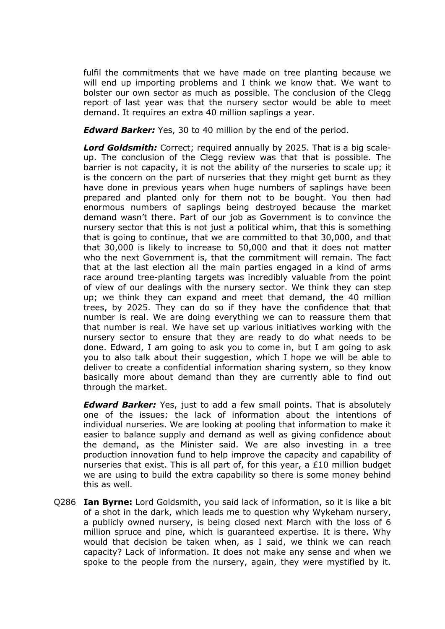fulfil the commitments that we have made on tree planting because we will end up importing problems and I think we know that. We want to bolster our own sector as much as possible. The conclusion of the Clegg report of last year was that the nursery sector would be able to meet demand. It requires an extra 40 million saplings a year.

*Edward Barker:* Yes, 30 to 40 million by the end of the period.

*Lord Goldsmith:* Correct; required annually by 2025. That is a big scaleup. The conclusion of the Clegg review was that that is possible. The barrier is not capacity, it is not the ability of the nurseries to scale up; it is the concern on the part of nurseries that they might get burnt as they have done in previous years when huge numbers of saplings have been prepared and planted only for them not to be bought. You then had enormous numbers of saplings being destroyed because the market demand wasn't there. Part of our job as Government is to convince the nursery sector that this is not just a political whim, that this is something that is going to continue, that we are committed to that 30,000, and that that 30,000 is likely to increase to 50,000 and that it does not matter who the next Government is, that the commitment will remain. The fact that at the last election all the main parties engaged in a kind of arms race around tree-planting targets was incredibly valuable from the point of view of our dealings with the nursery sector. We think they can step up; we think they can expand and meet that demand, the 40 million trees, by 2025. They can do so if they have the confidence that that number is real. We are doing everything we can to reassure them that that number is real. We have set up various initiatives working with the nursery sector to ensure that they are ready to do what needs to be done. Edward, I am going to ask you to come in, but I am going to ask you to also talk about their suggestion, which I hope we will be able to deliver to create a confidential information sharing system, so they know basically more about demand than they are currently able to find out through the market.

*Edward Barker:* Yes, just to add a few small points. That is absolutely one of the issues: the lack of information about the intentions of individual nurseries. We are looking at pooling that information to make it easier to balance supply and demand as well as giving confidence about the demand, as the Minister said. We are also investing in a tree production innovation fund to help improve the capacity and capability of nurseries that exist. This is all part of, for this year, a £10 million budget we are using to build the extra capability so there is some money behind this as well.

Q286 **Ian Byrne:** Lord Goldsmith, you said lack of information, so it is like a bit of a shot in the dark, which leads me to question why Wykeham nursery, a publicly owned nursery, is being closed next March with the loss of 6 million spruce and pine, which is guaranteed expertise. It is there. Why would that decision be taken when, as I said, we think we can reach capacity? Lack of information. It does not make any sense and when we spoke to the people from the nursery, again, they were mystified by it.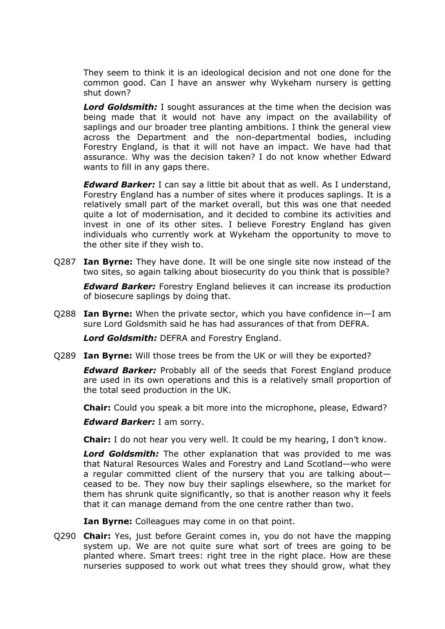They seem to think it is an ideological decision and not one done for the common good. Can I have an answer why Wykeham nursery is getting shut down?

*Lord Goldsmith:* I sought assurances at the time when the decision was being made that it would not have any impact on the availability of saplings and our broader tree planting ambitions. I think the general view across the Department and the non-departmental bodies, including Forestry England, is that it will not have an impact. We have had that assurance. Why was the decision taken? I do not know whether Edward wants to fill in any gaps there.

*Edward Barker:* I can say a little bit about that as well. As I understand, Forestry England has a number of sites where it produces saplings. It is a relatively small part of the market overall, but this was one that needed quite a lot of modernisation, and it decided to combine its activities and invest in one of its other sites. I believe Forestry England has given individuals who currently work at Wykeham the opportunity to move to the other site if they wish to.

Q287 **Ian Byrne:** They have done. It will be one single site now instead of the two sites, so again talking about biosecurity do you think that is possible?

*Edward Barker:* Forestry England believes it can increase its production of biosecure saplings by doing that.

Q288 **Ian Byrne:** When the private sector, which you have confidence in—I am sure Lord Goldsmith said he has had assurances of that from DEFRA.

*Lord Goldsmith:* DEFRA and Forestry England.

Q289 **Ian Byrne:** Will those trees be from the UK or will they be exported?

*Edward Barker:* Probably all of the seeds that Forest England produce are used in its own operations and this is a relatively small proportion of the total seed production in the UK.

**Chair:** Could you speak a bit more into the microphone, please, Edward?

*Edward Barker:* I am sorry.

**Chair:** I do not hear you very well. It could be my hearing, I don't know.

*Lord Goldsmith:* The other explanation that was provided to me was that Natural Resources Wales and Forestry and Land Scotland—who were a regular committed client of the nursery that you are talking about ceased to be. They now buy their saplings elsewhere, so the market for them has shrunk quite significantly, so that is another reason why it feels that it can manage demand from the one centre rather than two.

**Ian Byrne:** Colleagues may come in on that point.

Q290 **Chair:** Yes, just before Geraint comes in, you do not have the mapping system up. We are not quite sure what sort of trees are going to be planted where. Smart trees: right tree in the right place. How are these nurseries supposed to work out what trees they should grow, what they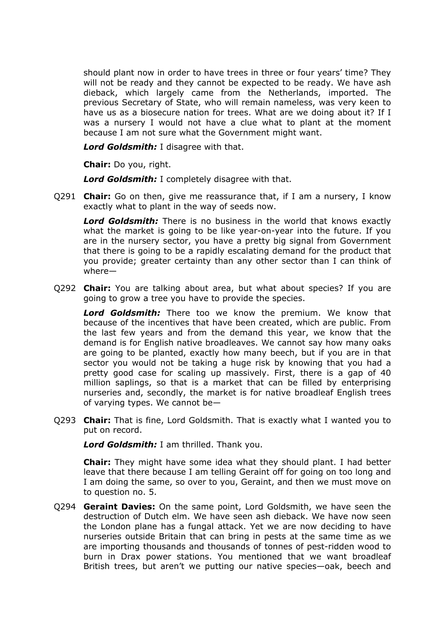should plant now in order to have trees in three or four years' time? They will not be ready and they cannot be expected to be ready. We have ash dieback, which largely came from the Netherlands, imported. The previous Secretary of State, who will remain nameless, was very keen to have us as a biosecure nation for trees. What are we doing about it? If I was a nursery I would not have a clue what to plant at the moment because I am not sure what the Government might want.

*Lord Goldsmith:* I disagree with that.

**Chair:** Do you, right.

*Lord Goldsmith:* I completely disagree with that.

Q291 **Chair:** Go on then, give me reassurance that, if I am a nursery, I know exactly what to plant in the way of seeds now.

*Lord Goldsmith:* There is no business in the world that knows exactly what the market is going to be like year-on-year into the future. If you are in the nursery sector, you have a pretty big signal from Government that there is going to be a rapidly escalating demand for the product that you provide; greater certainty than any other sector than I can think of where—

Q292 **Chair:** You are talking about area, but what about species? If you are going to grow a tree you have to provide the species.

*Lord Goldsmith:* There too we know the premium. We know that because of the incentives that have been created, which are public. From the last few years and from the demand this year, we know that the demand is for English native broadleaves. We cannot say how many oaks are going to be planted, exactly how many beech, but if you are in that sector you would not be taking a huge risk by knowing that you had a pretty good case for scaling up massively. First, there is a gap of 40 million saplings, so that is a market that can be filled by enterprising nurseries and, secondly, the market is for native broadleaf English trees of varying types. We cannot be—

Q293 **Chair:** That is fine, Lord Goldsmith. That is exactly what I wanted you to put on record.

*Lord Goldsmith:* I am thrilled. Thank you.

**Chair:** They might have some idea what they should plant. I had better leave that there because I am telling Geraint off for going on too long and I am doing the same, so over to you, Geraint, and then we must move on to question no. 5.

Q294 **Geraint Davies:** On the same point, Lord Goldsmith, we have seen the destruction of Dutch elm. We have seen ash dieback. We have now seen the London plane has a fungal attack. Yet we are now deciding to have nurseries outside Britain that can bring in pests at the same time as we are importing thousands and thousands of tonnes of pest-ridden wood to burn in Drax power stations. You mentioned that we want broadleaf British trees, but aren't we putting our native species—oak, beech and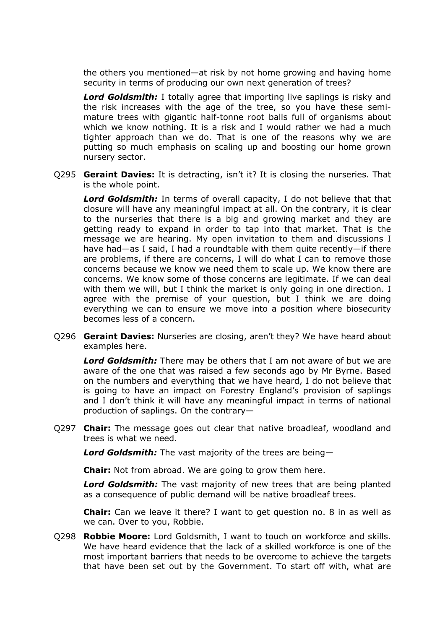the others you mentioned—at risk by not home growing and having home security in terms of producing our own next generation of trees?

*Lord Goldsmith:* I totally agree that importing live saplings is risky and the risk increases with the age of the tree, so you have these semimature trees with gigantic half-tonne root balls full of organisms about which we know nothing. It is a risk and I would rather we had a much tighter approach than we do. That is one of the reasons why we are putting so much emphasis on scaling up and boosting our home grown nursery sector.

Q295 **Geraint Davies:** It is detracting, isn't it? It is closing the nurseries. That is the whole point.

*Lord Goldsmith:* In terms of overall capacity, I do not believe that that closure will have any meaningful impact at all. On the contrary, it is clear to the nurseries that there is a big and growing market and they are getting ready to expand in order to tap into that market. That is the message we are hearing. My open invitation to them and discussions I have had—as I said, I had a roundtable with them quite recently—if there are problems, if there are concerns, I will do what I can to remove those concerns because we know we need them to scale up. We know there are concerns. We know some of those concerns are legitimate. If we can deal with them we will, but I think the market is only going in one direction. I agree with the premise of your question, but I think we are doing everything we can to ensure we move into a position where biosecurity becomes less of a concern.

Q296 **Geraint Davies:** Nurseries are closing, aren't they? We have heard about examples here.

*Lord Goldsmith:* There may be others that I am not aware of but we are aware of the one that was raised a few seconds ago by Mr Byrne. Based on the numbers and everything that we have heard, I do not believe that is going to have an impact on Forestry England's provision of saplings and I don't think it will have any meaningful impact in terms of national production of saplings. On the contrary—

Q297 **Chair:** The message goes out clear that native broadleaf, woodland and trees is what we need.

*Lord Goldsmith:* The vast majority of the trees are being—

**Chair:** Not from abroad. We are going to grow them here.

*Lord Goldsmith:* The vast majority of new trees that are being planted as a consequence of public demand will be native broadleaf trees.

**Chair:** Can we leave it there? I want to get question no. 8 in as well as we can. Over to you, Robbie.

Q298 **Robbie Moore:** Lord Goldsmith, I want to touch on workforce and skills. We have heard evidence that the lack of a skilled workforce is one of the most important barriers that needs to be overcome to achieve the targets that have been set out by the Government. To start off with, what are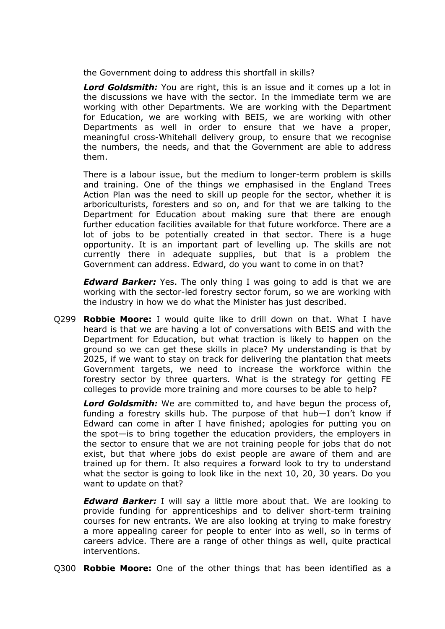the Government doing to address this shortfall in skills?

*Lord Goldsmith:* You are right, this is an issue and it comes up a lot in the discussions we have with the sector. In the immediate term we are working with other Departments. We are working with the Department for Education, we are working with BEIS, we are working with other Departments as well in order to ensure that we have a proper, meaningful cross-Whitehall delivery group, to ensure that we recognise the numbers, the needs, and that the Government are able to address them.

There is a labour issue, but the medium to longer-term problem is skills and training. One of the things we emphasised in the England Trees Action Plan was the need to skill up people for the sector, whether it is arboriculturists, foresters and so on, and for that we are talking to the Department for Education about making sure that there are enough further education facilities available for that future workforce. There are a lot of jobs to be potentially created in that sector. There is a huge opportunity. It is an important part of levelling up. The skills are not currently there in adequate supplies, but that is a problem the Government can address. Edward, do you want to come in on that?

*Edward Barker:* Yes. The only thing I was going to add is that we are working with the sector-led forestry sector forum, so we are working with the industry in how we do what the Minister has just described.

Q299 **Robbie Moore:** I would quite like to drill down on that. What I have heard is that we are having a lot of conversations with BEIS and with the Department for Education, but what traction is likely to happen on the ground so we can get these skills in place? My understanding is that by 2025, if we want to stay on track for delivering the plantation that meets Government targets, we need to increase the workforce within the forestry sector by three quarters. What is the strategy for getting FE colleges to provide more training and more courses to be able to help?

*Lord Goldsmith:* We are committed to, and have begun the process of, funding a forestry skills hub. The purpose of that hub—I don't know if Edward can come in after I have finished; apologies for putting you on the spot—is to bring together the education providers, the employers in the sector to ensure that we are not training people for jobs that do not exist, but that where jobs do exist people are aware of them and are trained up for them. It also requires a forward look to try to understand what the sector is going to look like in the next 10, 20, 30 years. Do you want to update on that?

*Edward Barker:* I will say a little more about that. We are looking to provide funding for apprenticeships and to deliver short-term training courses for new entrants. We are also looking at trying to make forestry a more appealing career for people to enter into as well, so in terms of careers advice. There are a range of other things as well, quite practical interventions.

Q300 **Robbie Moore:** One of the other things that has been identified as a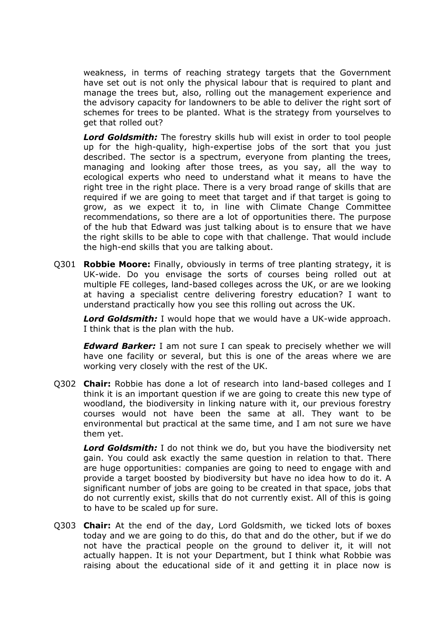weakness, in terms of reaching strategy targets that the Government have set out is not only the physical labour that is required to plant and manage the trees but, also, rolling out the management experience and the advisory capacity for landowners to be able to deliver the right sort of schemes for trees to be planted. What is the strategy from yourselves to get that rolled out?

*Lord Goldsmith:* The forestry skills hub will exist in order to tool people up for the high-quality, high-expertise jobs of the sort that you just described. The sector is a spectrum, everyone from planting the trees, managing and looking after those trees, as you say, all the way to ecological experts who need to understand what it means to have the right tree in the right place. There is a very broad range of skills that are required if we are going to meet that target and if that target is going to grow, as we expect it to, in line with Climate Change Committee recommendations, so there are a lot of opportunities there. The purpose of the hub that Edward was just talking about is to ensure that we have the right skills to be able to cope with that challenge. That would include the high-end skills that you are talking about.

Q301 **Robbie Moore:** Finally, obviously in terms of tree planting strategy, it is UK-wide. Do you envisage the sorts of courses being rolled out at multiple FE colleges, land-based colleges across the UK, or are we looking at having a specialist centre delivering forestry education? I want to understand practically how you see this rolling out across the UK.

*Lord Goldsmith:* I would hope that we would have a UK-wide approach. I think that is the plan with the hub.

*Edward Barker:* I am not sure I can speak to precisely whether we will have one facility or several, but this is one of the areas where we are working very closely with the rest of the UK.

Q302 **Chair:** Robbie has done a lot of research into land-based colleges and I think it is an important question if we are going to create this new type of woodland, the biodiversity in linking nature with it, our previous forestry courses would not have been the same at all. They want to be environmental but practical at the same time, and I am not sure we have them yet.

*Lord Goldsmith:* I do not think we do, but you have the biodiversity net gain. You could ask exactly the same question in relation to that. There are huge opportunities: companies are going to need to engage with and provide a target boosted by biodiversity but have no idea how to do it. A significant number of jobs are going to be created in that space, jobs that do not currently exist, skills that do not currently exist. All of this is going to have to be scaled up for sure.

Q303 **Chair:** At the end of the day, Lord Goldsmith, we ticked lots of boxes today and we are going to do this, do that and do the other, but if we do not have the practical people on the ground to deliver it, it will not actually happen. It is not your Department, but I think what Robbie was raising about the educational side of it and getting it in place now is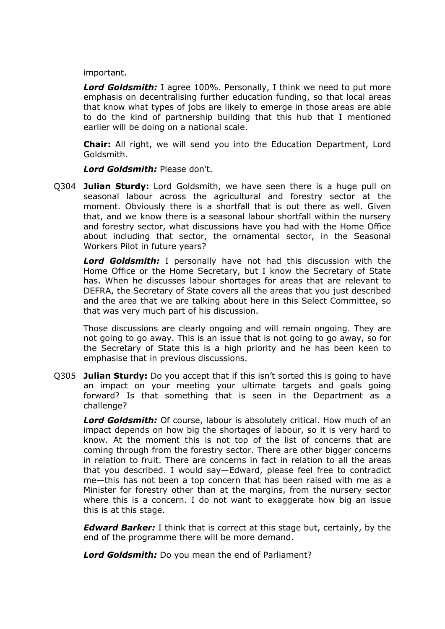important.

*Lord Goldsmith:* I agree 100%. Personally, I think we need to put more emphasis on decentralising further education funding, so that local areas that know what types of jobs are likely to emerge in those areas are able to do the kind of partnership building that this hub that I mentioned earlier will be doing on a national scale.

**Chair:** All right, we will send you into the Education Department, Lord Goldsmith.

*Lord Goldsmith:* Please don't.

Q304 **Julian Sturdy:** Lord Goldsmith, we have seen there is a huge pull on seasonal labour across the agricultural and forestry sector at the moment. Obviously there is a shortfall that is out there as well. Given that, and we know there is a seasonal labour shortfall within the nursery and forestry sector, what discussions have you had with the Home Office about including that sector, the ornamental sector, in the Seasonal Workers Pilot in future years?

*Lord Goldsmith:* I personally have not had this discussion with the Home Office or the Home Secretary, but I know the Secretary of State has. When he discusses labour shortages for areas that are relevant to DEFRA, the Secretary of State covers all the areas that you just described and the area that we are talking about here in this Select Committee, so that was very much part of his discussion.

Those discussions are clearly ongoing and will remain ongoing. They are not going to go away. This is an issue that is not going to go away, so for the Secretary of State this is a high priority and he has been keen to emphasise that in previous discussions.

Q305 **Julian Sturdy:** Do you accept that if this isn't sorted this is going to have an impact on your meeting your ultimate targets and goals going forward? Is that something that is seen in the Department as a challenge?

*Lord Goldsmith:* Of course, labour is absolutely critical. How much of an impact depends on how big the shortages of labour, so it is very hard to know. At the moment this is not top of the list of concerns that are coming through from the forestry sector. There are other bigger concerns in relation to fruit. There are concerns in fact in relation to all the areas that you described. I would say—Edward, please feel free to contradict me—this has not been a top concern that has been raised with me as a Minister for forestry other than at the margins, from the nursery sector where this is a concern. I do not want to exaggerate how big an issue this is at this stage.

*Edward Barker:* I think that is correct at this stage but, certainly, by the end of the programme there will be more demand.

*Lord Goldsmith:* Do you mean the end of Parliament?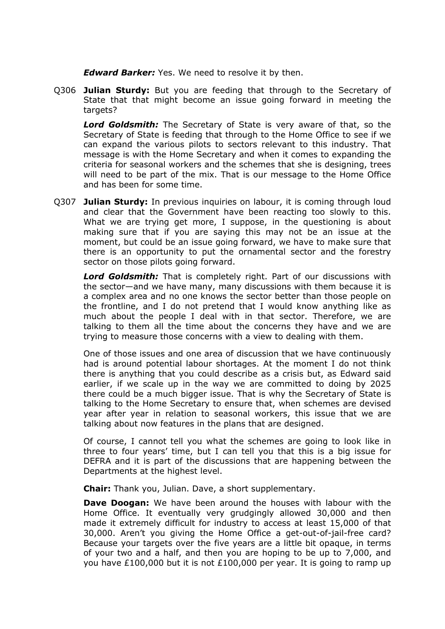*Edward Barker:* Yes. We need to resolve it by then.

Q306 **Julian Sturdy:** But you are feeding that through to the Secretary of State that that might become an issue going forward in meeting the targets?

*Lord Goldsmith:* The Secretary of State is very aware of that, so the Secretary of State is feeding that through to the Home Office to see if we can expand the various pilots to sectors relevant to this industry. That message is with the Home Secretary and when it comes to expanding the criteria for seasonal workers and the schemes that she is designing, trees will need to be part of the mix. That is our message to the Home Office and has been for some time.

Q307 **Julian Sturdy:** In previous inquiries on labour, it is coming through loud and clear that the Government have been reacting too slowly to this. What we are trying get more, I suppose, in the questioning is about making sure that if you are saying this may not be an issue at the moment, but could be an issue going forward, we have to make sure that there is an opportunity to put the ornamental sector and the forestry sector on those pilots going forward.

*Lord Goldsmith:* That is completely right. Part of our discussions with the sector—and we have many, many discussions with them because it is a complex area and no one knows the sector better than those people on the frontline, and I do not pretend that I would know anything like as much about the people I deal with in that sector. Therefore, we are talking to them all the time about the concerns they have and we are trying to measure those concerns with a view to dealing with them.

One of those issues and one area of discussion that we have continuously had is around potential labour shortages. At the moment I do not think there is anything that you could describe as a crisis but, as Edward said earlier, if we scale up in the way we are committed to doing by 2025 there could be a much bigger issue. That is why the Secretary of State is talking to the Home Secretary to ensure that, when schemes are devised year after year in relation to seasonal workers, this issue that we are talking about now features in the plans that are designed.

Of course, I cannot tell you what the schemes are going to look like in three to four years' time, but I can tell you that this is a big issue for DEFRA and it is part of the discussions that are happening between the Departments at the highest level.

**Chair:** Thank you, Julian. Dave, a short supplementary.

**Dave Doogan:** We have been around the houses with labour with the Home Office. It eventually very grudgingly allowed 30,000 and then made it extremely difficult for industry to access at least 15,000 of that 30,000. Aren't you giving the Home Office a get-out-of-jail-free card? Because your targets over the five years are a little bit opaque, in terms of your two and a half, and then you are hoping to be up to 7,000, and you have £100,000 but it is not £100,000 per year. It is going to ramp up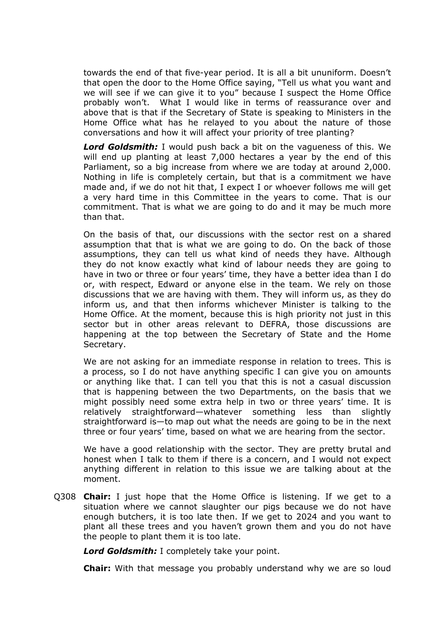towards the end of that five-year period. It is all a bit ununiform. Doesn't that open the door to the Home Office saying, "Tell us what you want and we will see if we can give it to you" because I suspect the Home Office probably won't. What I would like in terms of reassurance over and above that is that if the Secretary of State is speaking to Ministers in the Home Office what has he relayed to you about the nature of those conversations and how it will affect your priority of tree planting?

*Lord Goldsmith:* I would push back a bit on the vagueness of this. We will end up planting at least 7,000 hectares a year by the end of this Parliament, so a big increase from where we are today at around 2,000. Nothing in life is completely certain, but that is a commitment we have made and, if we do not hit that, I expect I or whoever follows me will get a very hard time in this Committee in the years to come. That is our commitment. That is what we are going to do and it may be much more than that.

On the basis of that, our discussions with the sector rest on a shared assumption that that is what we are going to do. On the back of those assumptions, they can tell us what kind of needs they have. Although they do not know exactly what kind of labour needs they are going to have in two or three or four years' time, they have a better idea than I do or, with respect, Edward or anyone else in the team. We rely on those discussions that we are having with them. They will inform us, as they do inform us, and that then informs whichever Minister is talking to the Home Office. At the moment, because this is high priority not just in this sector but in other areas relevant to DEFRA, those discussions are happening at the top between the Secretary of State and the Home Secretary.

We are not asking for an immediate response in relation to trees. This is a process, so I do not have anything specific I can give you on amounts or anything like that. I can tell you that this is not a casual discussion that is happening between the two Departments, on the basis that we might possibly need some extra help in two or three years' time. It is relatively straightforward—whatever something less than slightly straightforward is—to map out what the needs are going to be in the next three or four years' time, based on what we are hearing from the sector.

We have a good relationship with the sector. They are pretty brutal and honest when I talk to them if there is a concern, and I would not expect anything different in relation to this issue we are talking about at the moment.

Q308 **Chair:** I just hope that the Home Office is listening. If we get to a situation where we cannot slaughter our pigs because we do not have enough butchers, it is too late then. If we get to 2024 and you want to plant all these trees and you haven't grown them and you do not have the people to plant them it is too late.

*Lord Goldsmith:* I completely take your point.

**Chair:** With that message you probably understand why we are so loud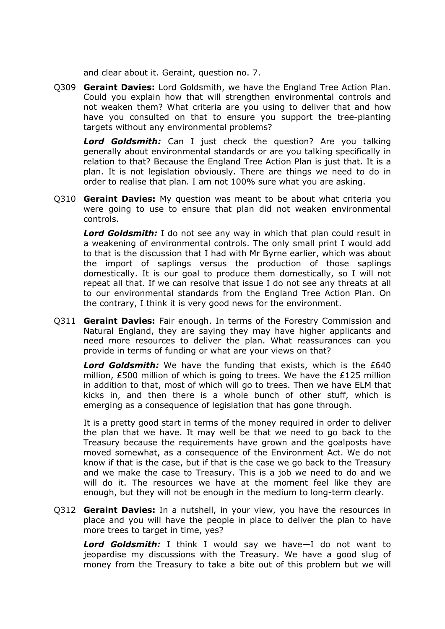and clear about it. Geraint, question no. 7.

Q309 **Geraint Davies:** Lord Goldsmith, we have the England Tree Action Plan. Could you explain how that will strengthen environmental controls and not weaken them? What criteria are you using to deliver that and how have you consulted on that to ensure you support the tree-planting targets without any environmental problems?

*Lord Goldsmith:* Can I just check the question? Are you talking generally about environmental standards or are you talking specifically in relation to that? Because the England Tree Action Plan is just that. It is a plan. It is not legislation obviously. There are things we need to do in order to realise that plan. I am not 100% sure what you are asking.

Q310 **Geraint Davies:** My question was meant to be about what criteria you were going to use to ensure that plan did not weaken environmental controls.

*Lord Goldsmith:* I do not see any way in which that plan could result in a weakening of environmental controls. The only small print I would add to that is the discussion that I had with Mr Byrne earlier, which was about the import of saplings versus the production of those saplings domestically. It is our goal to produce them domestically, so I will not repeat all that. If we can resolve that issue I do not see any threats at all to our environmental standards from the England Tree Action Plan. On the contrary, I think it is very good news for the environment.

Q311 **Geraint Davies:** Fair enough. In terms of the Forestry Commission and Natural England, they are saying they may have higher applicants and need more resources to deliver the plan. What reassurances can you provide in terms of funding or what are your views on that?

*Lord Goldsmith:* We have the funding that exists, which is the £640 million, £500 million of which is going to trees. We have the £125 million in addition to that, most of which will go to trees. Then we have ELM that kicks in, and then there is a whole bunch of other stuff, which is emerging as a consequence of legislation that has gone through.

It is a pretty good start in terms of the money required in order to deliver the plan that we have. It may well be that we need to go back to the Treasury because the requirements have grown and the goalposts have moved somewhat, as a consequence of the Environment Act. We do not know if that is the case, but if that is the case we go back to the Treasury and we make the case to Treasury. This is a job we need to do and we will do it. The resources we have at the moment feel like they are enough, but they will not be enough in the medium to long-term clearly.

Q312 **Geraint Davies:** In a nutshell, in your view, you have the resources in place and you will have the people in place to deliver the plan to have more trees to target in time, yes?

*Lord Goldsmith:* I think I would say we have—I do not want to jeopardise my discussions with the Treasury. We have a good slug of money from the Treasury to take a bite out of this problem but we will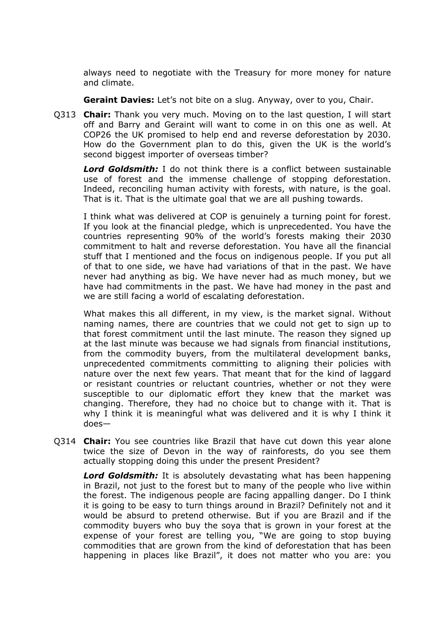always need to negotiate with the Treasury for more money for nature and climate.

**Geraint Davies:** Let's not bite on a slug. Anyway, over to you, Chair.

Q313 **Chair:** Thank you very much. Moving on to the last question, I will start off and Barry and Geraint will want to come in on this one as well. At COP26 the UK promised to help end and reverse deforestation by 2030. How do the Government plan to do this, given the UK is the world's second biggest importer of overseas timber?

*Lord Goldsmith:* I do not think there is a conflict between sustainable use of forest and the immense challenge of stopping deforestation. Indeed, reconciling human activity with forests, with nature, is the goal. That is it. That is the ultimate goal that we are all pushing towards.

I think what was delivered at COP is genuinely a turning point for forest. If you look at the financial pledge, which is unprecedented. You have the countries representing 90% of the world's forests making their 2030 commitment to halt and reverse deforestation. You have all the financial stuff that I mentioned and the focus on indigenous people. If you put all of that to one side, we have had variations of that in the past. We have never had anything as big. We have never had as much money, but we have had commitments in the past. We have had money in the past and we are still facing a world of escalating deforestation.

What makes this all different, in my view, is the market signal. Without naming names, there are countries that we could not get to sign up to that forest commitment until the last minute. The reason they signed up at the last minute was because we had signals from financial institutions, from the commodity buyers, from the multilateral development banks, unprecedented commitments committing to aligning their policies with nature over the next few years. That meant that for the kind of laggard or resistant countries or reluctant countries, whether or not they were susceptible to our diplomatic effort they knew that the market was changing. Therefore, they had no choice but to change with it. That is why I think it is meaningful what was delivered and it is why I think it does—

Q314 **Chair:** You see countries like Brazil that have cut down this year alone twice the size of Devon in the way of rainforests, do you see them actually stopping doing this under the present President?

*Lord Goldsmith:* It is absolutely devastating what has been happening in Brazil, not just to the forest but to many of the people who live within the forest. The indigenous people are facing appalling danger. Do I think it is going to be easy to turn things around in Brazil? Definitely not and it would be absurd to pretend otherwise. But if you are Brazil and if the commodity buyers who buy the soya that is grown in your forest at the expense of your forest are telling you, "We are going to stop buying commodities that are grown from the kind of deforestation that has been happening in places like Brazil", it does not matter who you are: you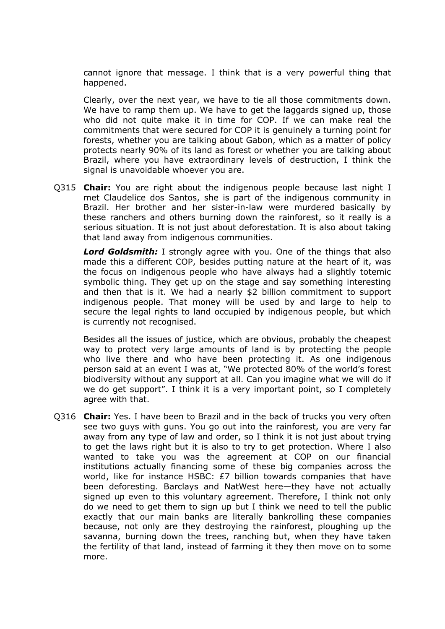cannot ignore that message. I think that is a very powerful thing that happened.

Clearly, over the next year, we have to tie all those commitments down. We have to ramp them up. We have to get the laggards signed up, those who did not quite make it in time for COP. If we can make real the commitments that were secured for COP it is genuinely a turning point for forests, whether you are talking about Gabon, which as a matter of policy protects nearly 90% of its land as forest or whether you are talking about Brazil, where you have extraordinary levels of destruction, I think the signal is unavoidable whoever you are.

Q315 **Chair:** You are right about the indigenous people because last night I met Claudelice dos Santos, she is part of the indigenous community in Brazil. Her brother and her sister-in-law were murdered basically by these ranchers and others burning down the rainforest, so it really is a serious situation. It is not just about deforestation. It is also about taking that land away from indigenous communities.

*Lord Goldsmith:* I strongly agree with you. One of the things that also made this a different COP, besides putting nature at the heart of it, was the focus on indigenous people who have always had a slightly totemic symbolic thing. They get up on the stage and say something interesting and then that is it. We had a nearly \$2 billion commitment to support indigenous people. That money will be used by and large to help to secure the legal rights to land occupied by indigenous people, but which is currently not recognised.

Besides all the issues of justice, which are obvious, probably the cheapest way to protect very large amounts of land is by protecting the people who live there and who have been protecting it. As one indigenous person said at an event I was at, "We protected 80% of the world's forest biodiversity without any support at all. Can you imagine what we will do if we do get support". I think it is a very important point, so I completely agree with that.

Q316 **Chair:** Yes. I have been to Brazil and in the back of trucks you very often see two guys with guns. You go out into the rainforest, you are very far away from any type of law and order, so I think it is not just about trying to get the laws right but it is also to try to get protection. Where I also wanted to take you was the agreement at COP on our financial institutions actually financing some of these big companies across the world, like for instance HSBC: £7 billion towards companies that have been deforesting. Barclays and NatWest here—they have not actually signed up even to this voluntary agreement. Therefore, I think not only do we need to get them to sign up but I think we need to tell the public exactly that our main banks are literally bankrolling these companies because, not only are they destroying the rainforest, ploughing up the savanna, burning down the trees, ranching but, when they have taken the fertility of that land, instead of farming it they then move on to some more.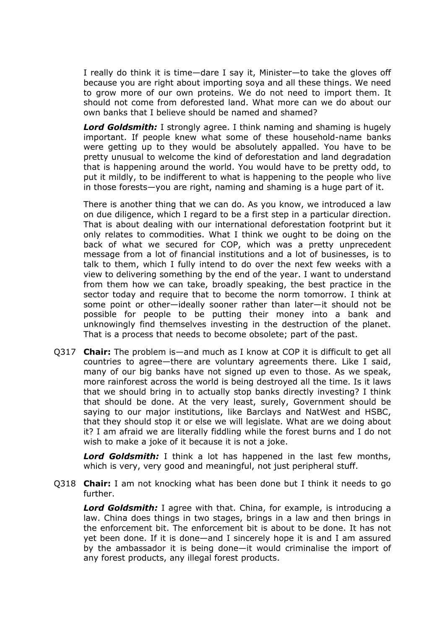I really do think it is time—dare I say it, Minister—to take the gloves off because you are right about importing soya and all these things. We need to grow more of our own proteins. We do not need to import them. It should not come from deforested land. What more can we do about our own banks that I believe should be named and shamed?

**Lord Goldsmith:** I strongly agree. I think naming and shaming is hugely important. If people knew what some of these household-name banks were getting up to they would be absolutely appalled. You have to be pretty unusual to welcome the kind of deforestation and land degradation that is happening around the world. You would have to be pretty odd, to put it mildly, to be indifferent to what is happening to the people who live in those forests—you are right, naming and shaming is a huge part of it.

There is another thing that we can do. As you know, we introduced a law on due diligence, which I regard to be a first step in a particular direction. That is about dealing with our international deforestation footprint but it only relates to commodities. What I think we ought to be doing on the back of what we secured for COP, which was a pretty unprecedent message from a lot of financial institutions and a lot of businesses, is to talk to them, which I fully intend to do over the next few weeks with a view to delivering something by the end of the year. I want to understand from them how we can take, broadly speaking, the best practice in the sector today and require that to become the norm tomorrow. I think at some point or other—ideally sooner rather than later—it should not be possible for people to be putting their money into a bank and unknowingly find themselves investing in the destruction of the planet. That is a process that needs to become obsolete; part of the past.

Q317 **Chair:** The problem is—and much as I know at COP it is difficult to get all countries to agree—there are voluntary agreements there. Like I said, many of our big banks have not signed up even to those. As we speak, more rainforest across the world is being destroyed all the time. Is it laws that we should bring in to actually stop banks directly investing? I think that should be done. At the very least, surely, Government should be saying to our major institutions, like Barclays and NatWest and HSBC, that they should stop it or else we will legislate. What are we doing about it? I am afraid we are literally fiddling while the forest burns and I do not wish to make a joke of it because it is not a joke.

*Lord Goldsmith:* I think a lot has happened in the last few months, which is very, very good and meaningful, not just peripheral stuff.

Q318 **Chair:** I am not knocking what has been done but I think it needs to go further.

*Lord Goldsmith:* I agree with that. China, for example, is introducing a law. China does things in two stages, brings in a law and then brings in the enforcement bit. The enforcement bit is about to be done. It has not yet been done. If it is done—and I sincerely hope it is and I am assured by the ambassador it is being done—it would criminalise the import of any forest products, any illegal forest products.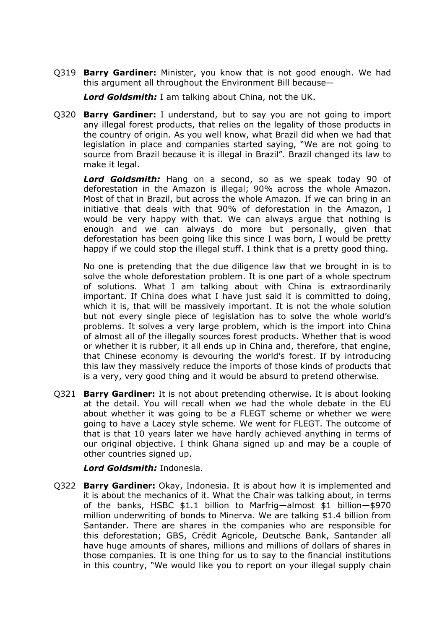Q319 **Barry Gardiner:** Minister, you know that is not good enough. We had this argument all throughout the Environment Bill because—

*Lord Goldsmith:* I am talking about China, not the UK.

Q320 **Barry Gardiner:** I understand, but to say you are not going to import any illegal forest products, that relies on the legality of those products in the country of origin. As you well know, what Brazil did when we had that legislation in place and companies started saying, "We are not going to source from Brazil because it is illegal in Brazil". Brazil changed its law to make it legal.

*Lord Goldsmith:* Hang on a second, so as we speak today 90 of deforestation in the Amazon is illegal; 90% across the whole Amazon. Most of that in Brazil, but across the whole Amazon. If we can bring in an initiative that deals with that 90% of deforestation in the Amazon, I would be very happy with that. We can always argue that nothing is enough and we can always do more but personally, given that deforestation has been going like this since I was born, I would be pretty happy if we could stop the illegal stuff. I think that is a pretty good thing.

No one is pretending that the due diligence law that we brought in is to solve the whole deforestation problem. It is one part of a whole spectrum of solutions. What I am talking about with China is extraordinarily important. If China does what I have just said it is committed to doing, which it is, that will be massively important. It is not the whole solution but not every single piece of legislation has to solve the whole world's problems. It solves a very large problem, which is the import into China of almost all of the illegally sources forest products. Whether that is wood or whether it is rubber, it all ends up in China and, therefore, that engine, that Chinese economy is devouring the world's forest. If by introducing this law they massively reduce the imports of those kinds of products that is a very, very good thing and it would be absurd to pretend otherwise.

Q321 **Barry Gardiner:** It is not about pretending otherwise. It is about looking at the detail. You will recall when we had the whole debate in the EU about whether it was going to be a FLEGT scheme or whether we were going to have a Lacey style scheme. We went for FLEGT. The outcome of that is that 10 years later we have hardly achieved anything in terms of our original objective. I think Ghana signed up and may be a couple of other countries signed up.

*Lord Goldsmith:* Indonesia.

Q322 **Barry Gardiner:** Okay, Indonesia. It is about how it is implemented and it is about the mechanics of it. What the Chair was talking about, in terms of the banks, HSBC \$1.1 billion to Marfrig—almost \$1 billion—\$970 million underwriting of bonds to Minerva. We are talking \$1.4 billion from Santander. There are shares in the companies who are responsible for this deforestation; GBS, Crédit Agricole, Deutsche Bank, Santander all have huge amounts of shares, millions and millions of dollars of shares in those companies. It is one thing for us to say to the financial institutions in this country, "We would like you to report on your illegal supply chain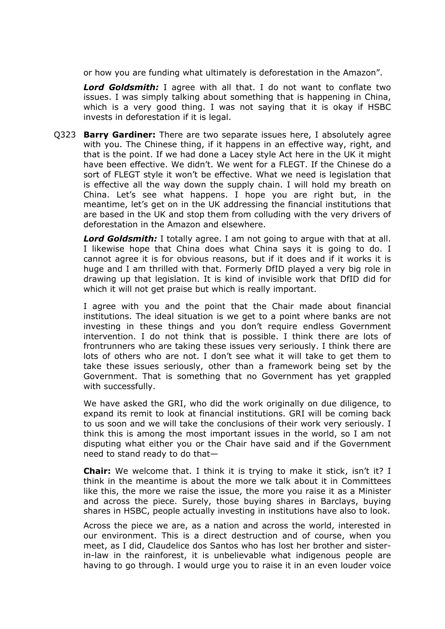or how you are funding what ultimately is deforestation in the Amazon".

*Lord Goldsmith:* I agree with all that. I do not want to conflate two issues. I was simply talking about something that is happening in China, which is a very good thing. I was not saying that it is okay if HSBC invests in deforestation if it is legal.

Q323 **Barry Gardiner:** There are two separate issues here, I absolutely agree with you. The Chinese thing, if it happens in an effective way, right, and that is the point. If we had done a Lacey style Act here in the UK it might have been effective. We didn't. We went for a FLEGT. If the Chinese do a sort of FLEGT style it won't be effective. What we need is legislation that is effective all the way down the supply chain. I will hold my breath on China. Let's see what happens. I hope you are right but, in the meantime, let's get on in the UK addressing the financial institutions that are based in the UK and stop them from colluding with the very drivers of deforestation in the Amazon and elsewhere.

*Lord Goldsmith:* I totally agree. I am not going to argue with that at all. I likewise hope that China does what China says it is going to do. I cannot agree it is for obvious reasons, but if it does and if it works it is huge and I am thrilled with that. Formerly DfID played a very big role in drawing up that legislation. It is kind of invisible work that DfID did for which it will not get praise but which is really important.

I agree with you and the point that the Chair made about financial institutions. The ideal situation is we get to a point where banks are not investing in these things and you don't require endless Government intervention. I do not think that is possible. I think there are lots of frontrunners who are taking these issues very seriously. I think there are lots of others who are not. I don't see what it will take to get them to take these issues seriously, other than a framework being set by the Government. That is something that no Government has yet grappled with successfully.

We have asked the GRI, who did the work originally on due diligence, to expand its remit to look at financial institutions. GRI will be coming back to us soon and we will take the conclusions of their work very seriously. I think this is among the most important issues in the world, so I am not disputing what either you or the Chair have said and if the Government need to stand ready to do that—

**Chair:** We welcome that. I think it is trying to make it stick, isn't it? I think in the meantime is about the more we talk about it in Committees like this, the more we raise the issue, the more you raise it as a Minister and across the piece. Surely, those buying shares in Barclays, buying shares in HSBC, people actually investing in institutions have also to look.

Across the piece we are, as a nation and across the world, interested in our environment. This is a direct destruction and of course, when you meet, as I did, Claudelice dos Santos who has lost her brother and sisterin-law in the rainforest, it is unbelievable what indigenous people are having to go through. I would urge you to raise it in an even louder voice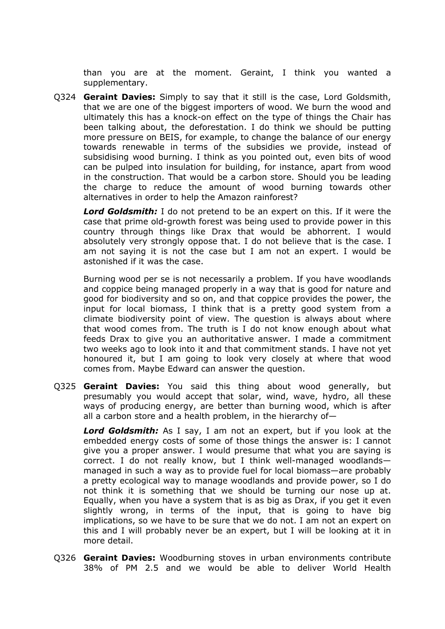than you are at the moment. Geraint, I think you wanted a supplementary.

Q324 **Geraint Davies:** Simply to say that it still is the case, Lord Goldsmith, that we are one of the biggest importers of wood. We burn the wood and ultimately this has a knock-on effect on the type of things the Chair has been talking about, the deforestation. I do think we should be putting more pressure on BEIS, for example, to change the balance of our energy towards renewable in terms of the subsidies we provide, instead of subsidising wood burning. I think as you pointed out, even bits of wood can be pulped into insulation for building, for instance, apart from wood in the construction. That would be a carbon store. Should you be leading the charge to reduce the amount of wood burning towards other alternatives in order to help the Amazon rainforest?

*Lord Goldsmith:* I do not pretend to be an expert on this. If it were the case that prime old-growth forest was being used to provide power in this country through things like Drax that would be abhorrent. I would absolutely very strongly oppose that. I do not believe that is the case. I am not saying it is not the case but I am not an expert. I would be astonished if it was the case.

Burning wood per se is not necessarily a problem. If you have woodlands and coppice being managed properly in a way that is good for nature and good for biodiversity and so on, and that coppice provides the power, the input for local biomass, I think that is a pretty good system from a climate biodiversity point of view. The question is always about where that wood comes from. The truth is I do not know enough about what feeds Drax to give you an authoritative answer. I made a commitment two weeks ago to look into it and that commitment stands. I have not yet honoured it, but I am going to look very closely at where that wood comes from. Maybe Edward can answer the question.

Q325 **Geraint Davies:** You said this thing about wood generally, but presumably you would accept that solar, wind, wave, hydro, all these ways of producing energy, are better than burning wood, which is after all a carbon store and a health problem, in the hierarchy of—

*Lord Goldsmith:* As I say, I am not an expert, but if you look at the embedded energy costs of some of those things the answer is: I cannot give you a proper answer. I would presume that what you are saying is correct. I do not really know, but I think well-managed woodlands managed in such a way as to provide fuel for local biomass—are probably a pretty ecological way to manage woodlands and provide power, so I do not think it is something that we should be turning our nose up at. Equally, when you have a system that is as big as Drax, if you get it even slightly wrong, in terms of the input, that is going to have big implications, so we have to be sure that we do not. I am not an expert on this and I will probably never be an expert, but I will be looking at it in more detail.

Q326 **Geraint Davies:** Woodburning stoves in urban environments contribute 38% of PM 2.5 and we would be able to deliver World Health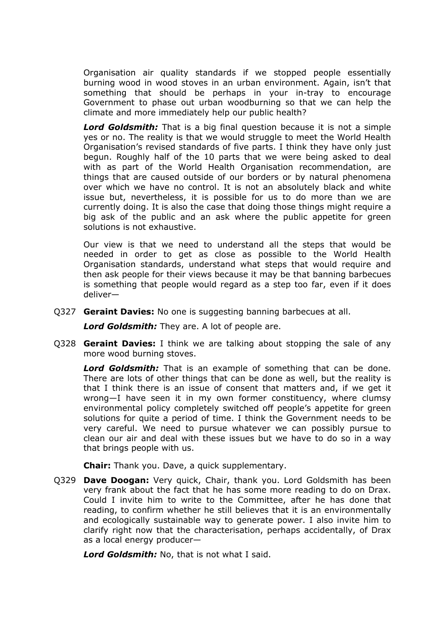Organisation air quality standards if we stopped people essentially burning wood in wood stoves in an urban environment. Again, isn't that something that should be perhaps in your in-tray to encourage Government to phase out urban woodburning so that we can help the climate and more immediately help our public health?

*Lord Goldsmith:* That is a big final question because it is not a simple yes or no. The reality is that we would struggle to meet the World Health Organisation's revised standards of five parts. I think they have only just begun. Roughly half of the 10 parts that we were being asked to deal with as part of the World Health Organisation recommendation, are things that are caused outside of our borders or by natural phenomena over which we have no control. It is not an absolutely black and white issue but, nevertheless, it is possible for us to do more than we are currently doing. It is also the case that doing those things might require a big ask of the public and an ask where the public appetite for green solutions is not exhaustive.

Our view is that we need to understand all the steps that would be needed in order to get as close as possible to the World Health Organisation standards, understand what steps that would require and then ask people for their views because it may be that banning barbecues is something that people would regard as a step too far, even if it does deliver—

Q327 **Geraint Davies:** No one is suggesting banning barbecues at all.

*Lord Goldsmith:* They are. A lot of people are.

Q328 **Geraint Davies:** I think we are talking about stopping the sale of any more wood burning stoves.

*Lord Goldsmith:* That is an example of something that can be done. There are lots of other things that can be done as well, but the reality is that I think there is an issue of consent that matters and, if we get it wrong—I have seen it in my own former constituency, where clumsy environmental policy completely switched off people's appetite for green solutions for quite a period of time. I think the Government needs to be very careful. We need to pursue whatever we can possibly pursue to clean our air and deal with these issues but we have to do so in a way that brings people with us.

**Chair:** Thank you. Dave, a quick supplementary.

Q329 **Dave Doogan:** Very quick, Chair, thank you. Lord Goldsmith has been very frank about the fact that he has some more reading to do on Drax. Could I invite him to write to the Committee, after he has done that reading, to confirm whether he still believes that it is an environmentally and ecologically sustainable way to generate power. I also invite him to clarify right now that the characterisation, perhaps accidentally, of Drax as a local energy producer—

*Lord Goldsmith:* No, that is not what I said.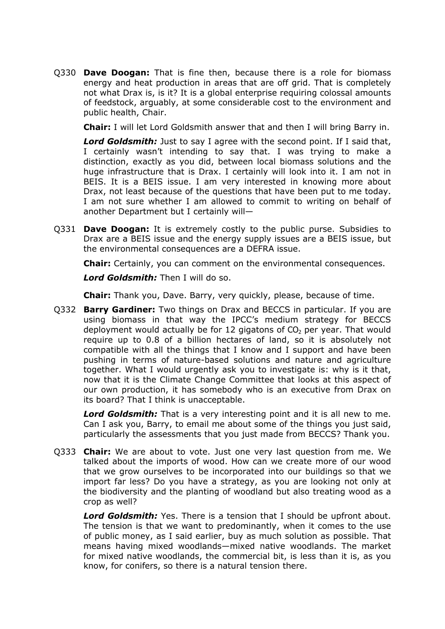Q330 **Dave Doogan:** That is fine then, because there is a role for biomass energy and heat production in areas that are off grid. That is completely not what Drax is, is it? It is a global enterprise requiring colossal amounts of feedstock, arguably, at some considerable cost to the environment and public health, Chair.

**Chair:** I will let Lord Goldsmith answer that and then I will bring Barry in.

*Lord Goldsmith:* Just to say I agree with the second point. If I said that, I certainly wasn't intending to say that. I was trying to make a distinction, exactly as you did, between local biomass solutions and the huge infrastructure that is Drax. I certainly will look into it. I am not in BEIS. It is a BEIS issue. I am very interested in knowing more about Drax, not least because of the questions that have been put to me today. I am not sure whether I am allowed to commit to writing on behalf of another Department but I certainly will—

Q331 **Dave Doogan:** It is extremely costly to the public purse. Subsidies to Drax are a BEIS issue and the energy supply issues are a BEIS issue, but the environmental consequences are a DEFRA issue.

**Chair:** Certainly, you can comment on the environmental consequences.

*Lord Goldsmith:* Then I will do so.

**Chair:** Thank you, Dave. Barry, very quickly, please, because of time.

Q332 **Barry Gardiner:** Two things on Drax and BECCS in particular. If you are using biomass in that way the IPCC's medium strategy for BECCS deployment would actually be for 12 gigatons of  $CO<sub>2</sub>$  per year. That would require up to 0.8 of a billion hectares of land, so it is absolutely not compatible with all the things that I know and I support and have been pushing in terms of nature-based solutions and nature and agriculture together. What I would urgently ask you to investigate is: why is it that, now that it is the Climate Change Committee that looks at this aspect of our own production, it has somebody who is an executive from Drax on its board? That I think is unacceptable.

*Lord Goldsmith:* That is a very interesting point and it is all new to me. Can I ask you, Barry, to email me about some of the things you just said, particularly the assessments that you just made from BECCS? Thank you.

Q333 **Chair:** We are about to vote. Just one very last question from me. We talked about the imports of wood. How can we create more of our wood that we grow ourselves to be incorporated into our buildings so that we import far less? Do you have a strategy, as you are looking not only at the biodiversity and the planting of woodland but also treating wood as a crop as well?

*Lord Goldsmith:* Yes. There is a tension that I should be upfront about. The tension is that we want to predominantly, when it comes to the use of public money, as I said earlier, buy as much solution as possible. That means having mixed woodlands—mixed native woodlands. The market for mixed native woodlands, the commercial bit, is less than it is, as you know, for conifers, so there is a natural tension there.